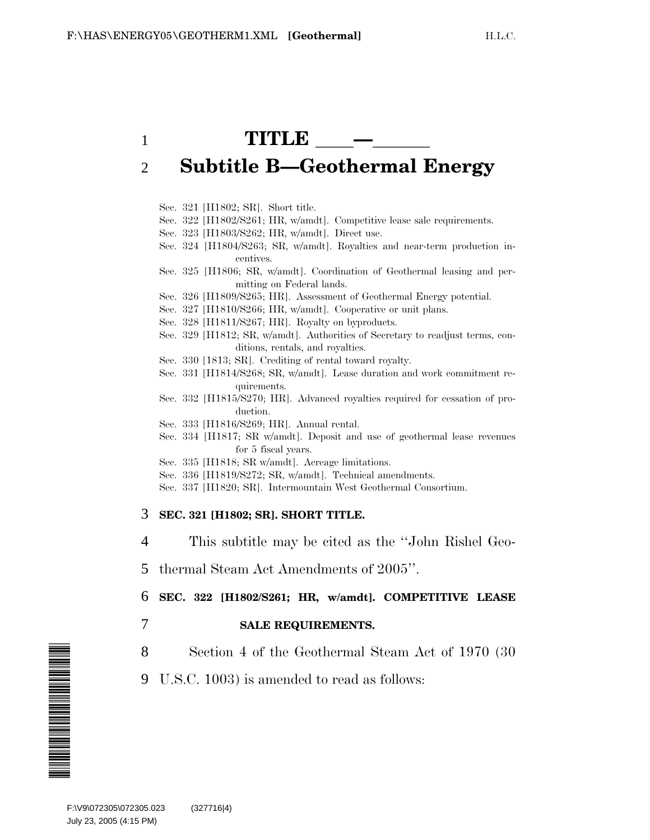# 1 **TITLE —** 2 **Subtitle B—Geothermal Energy**

Sec. 321 [H1802; SR]. Short title.

- Sec. 322 [H1802/S261; HR, w/amdt]. Competitive lease sale requirements.
- Sec. 323 [H1803/S262; HR, w/amdt]. Direct use.
- Sec. 324 [H1804/S263; SR, w/amdt]. Royalties and near-term production incentives.
- Sec. 325 [H1806; SR, w/amdt]. Coordination of Geothermal leasing and permitting on Federal lands.
- Sec. 326 [H1809/S265; HR]. Assessment of Geothermal Energy potential.
- Sec. 327 [H1810/S266; HR, w/amdt]. Cooperative or unit plans.
- Sec. 328 [H1811/S267; HR]. Royalty on byproducts.
- Sec. 329 [H1812; SR, w/amdt]. Authorities of Secretary to readjust terms, conditions, rentals, and royalties.
- Sec. 330 [1813; SR]. Crediting of rental toward royalty.
- Sec. 331 [H1814/S268; SR, w/amdt]. Lease duration and work commitment requirements.
- Sec. 332 [H1815/S270; HR]. Advanced royalties required for cessation of production.
- Sec. 333 [H1816/S269; HR]. Annual rental.
- Sec. 334 [H1817; SR w/amdt]. Deposit and use of geothermal lease revenues for 5 fiscal years.
- Sec. 335 [H1818; SR w/amdt]. Acreage limitations.
- Sec. 336 [H1819/S272; SR, w/amdt]. Technical amendments.
- Sec. 337 [H1820; SR]. Intermountain West Geothermal Consortium.

#### 3 **SEC. 321 [H1802; SR]. SHORT TITLE.**

- 4 This subtitle may be cited as the ''John Rishel Geo-
- 5 thermal Steam Act Amendments of 2005''.

#### 6 **SEC. 322 [H1802/S261; HR, w/amdt]. COMPETITIVE LEASE**

- 7 **SALE REQUIREMENTS.**
- 8 Section 4 of the Geothermal Steam Act of 1970 (30
- 9 U.S.C. 1003) is amended to read as follows:

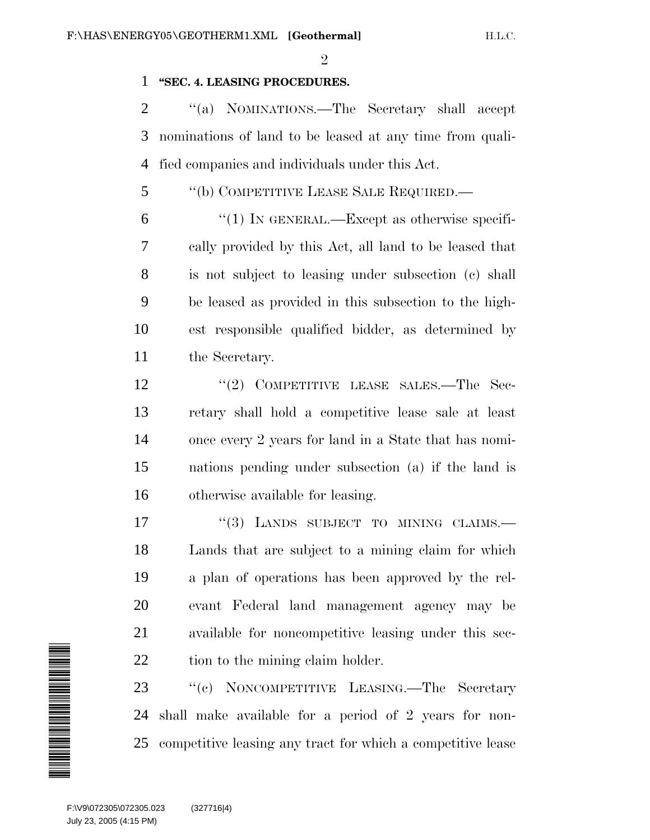$\mathfrak{D}$ 

### **''SEC. 4. LEASING PROCEDURES.**

 ''(a) NOMINATIONS.—The Secretary shall accept nominations of land to be leased at any time from quali-fied companies and individuals under this Act.

- ''(b) COMPETITIVE LEASE SALE REQUIRED.—
- $(1)$  In GENERAL.—Except as otherwise specifi- cally provided by this Act, all land to be leased that is not subject to leasing under subsection (c) shall be leased as provided in this subsection to the high- est responsible qualified bidder, as determined by the Secretary.
- 12 "(2) COMPETITIVE LEASE SALES.—The Sec- retary shall hold a competitive lease sale at least once every 2 years for land in a State that has nomi- nations pending under subsection (a) if the land is otherwise available for leasing.
- 17 "(3) LANDS SUBJECT TO MINING CLAIMS. Lands that are subject to a mining claim for which a plan of operations has been approved by the rel- evant Federal land management agency may be available for noncompetitive leasing under this sec-22 tion to the mining claim holder.

 ''(c) NONCOMPETITIVE LEASING.—The Secretary shall make available for a period of 2 years for non-competitive leasing any tract for which a competitive lease

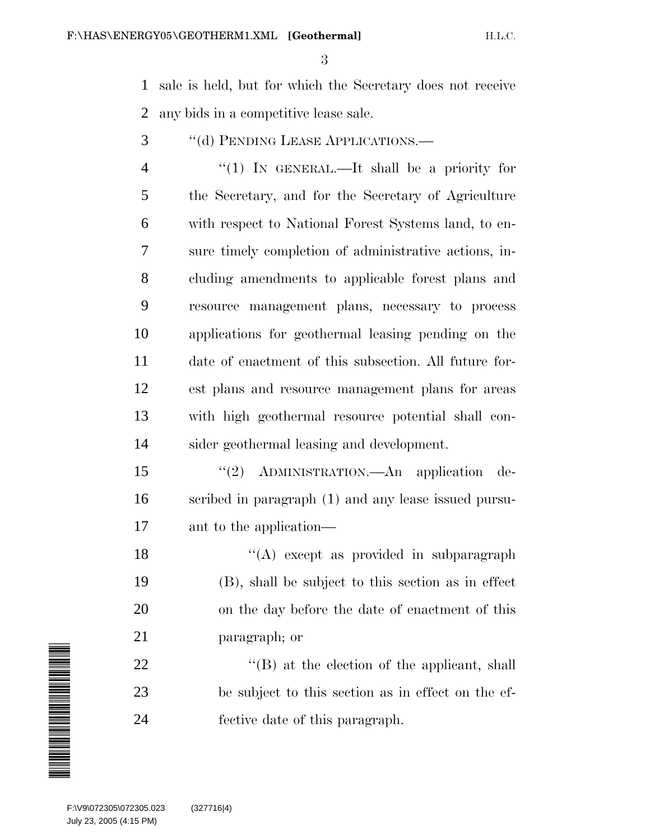sale is held, but for which the Secretary does not receive any bids in a competitive lease sale.

3 "(d) PENDING LEASE APPLICATIONS.—

4 "(1) IN GENERAL.—It shall be a priority for the Secretary, and for the Secretary of Agriculture with respect to National Forest Systems land, to en- sure timely completion of administrative actions, in- cluding amendments to applicable forest plans and resource management plans, necessary to process applications for geothermal leasing pending on the date of enactment of this subsection. All future for- est plans and resource management plans for areas with high geothermal resource potential shall con-sider geothermal leasing and development.

 ''(2) ADMINISTRATION.—An application de- scribed in paragraph (1) and any lease issued pursu-ant to the application—

18 ''(A) except as provided in subparagraph (B), shall be subject to this section as in effect on the day before the date of enactment of this paragraph; or

22  $\langle (B)$  at the election of the applicant, shall be subject to this section as in effect on the ef-fective date of this paragraph.

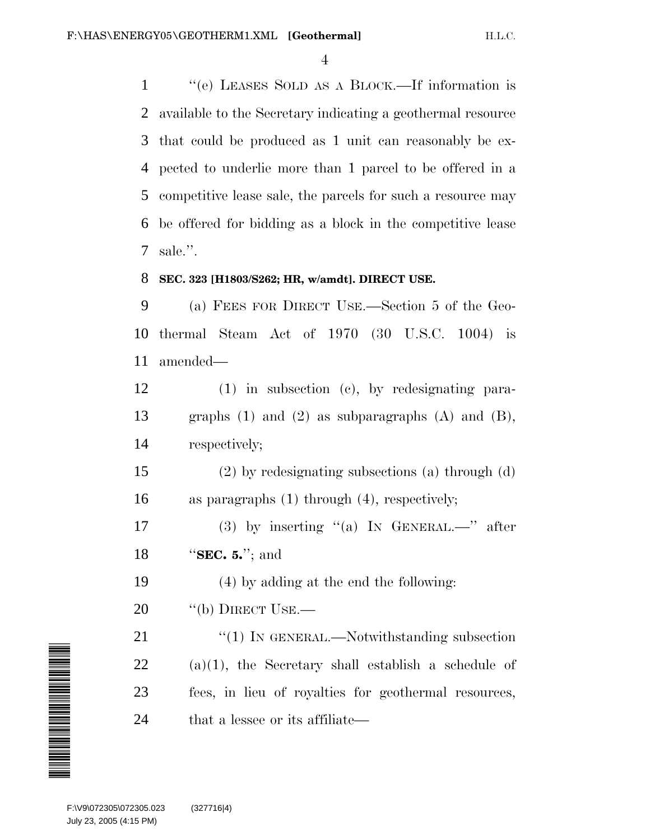''(e) LEASES SOLD AS A BLOCK.—If information is available to the Secretary indicating a geothermal resource that could be produced as 1 unit can reasonably be ex- pected to underlie more than 1 parcel to be offered in a competitive lease sale, the parcels for such a resource may be offered for bidding as a block in the competitive lease sale.''.

### **SEC. 323 [H1803/S262; HR, w/amdt]. DIRECT USE.**

 (a) FEES FOR DIRECT USE.—Section 5 of the Geo- thermal Steam Act of 1970 (30 U.S.C. 1004) is amended—

 (1) in subsection (c), by redesignating para- graphs (1) and (2) as subparagraphs (A) and (B), respectively;

 (2) by redesignating subsections (a) through (d) as paragraphs (1) through (4), respectively;

 (3) by inserting ''(a) IN GENERAL.—'' after ''**SEC. 5.**''; and

(4) by adding at the end the following:

20 "(b) DIRECT USE.—

21 "(1) IN GENERAL.—Notwithstanding subsection (a)(1), the Secretary shall establish a schedule of fees, in lieu of royalties for geothermal resources, 24 that a lessee or its affiliate—

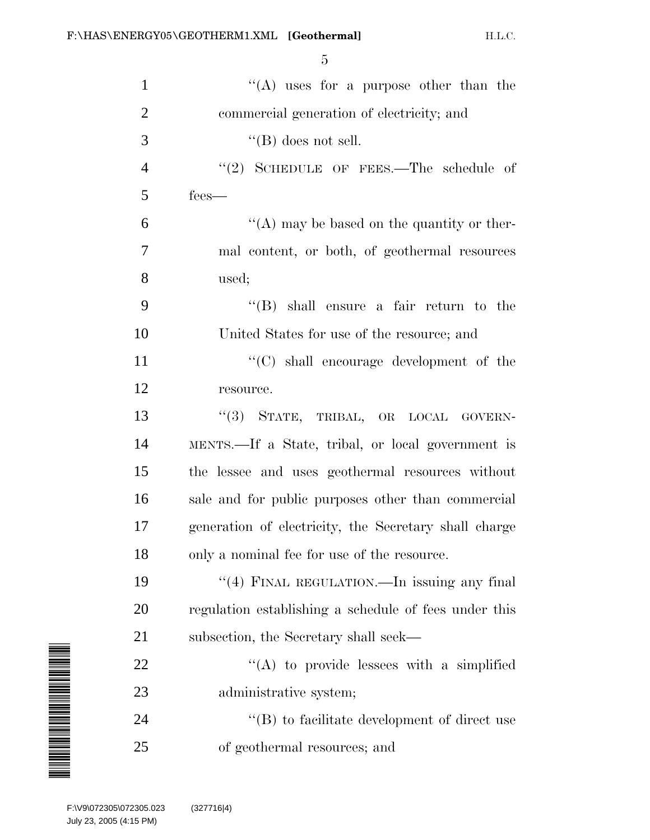| $\mathbf{1}$                                                                                                                | "(A) uses for a purpose other than the                |
|-----------------------------------------------------------------------------------------------------------------------------|-------------------------------------------------------|
| $\overline{2}$                                                                                                              | commercial generation of electricity; and             |
| 3                                                                                                                           | $\lq\lq$ (B) does not sell.                           |
| $\overline{4}$                                                                                                              | "(2) SCHEDULE OF FEES.—The schedule of                |
| 5                                                                                                                           | fees-                                                 |
| 6                                                                                                                           | $\lq\lq$ (A) may be based on the quantity or ther-    |
| 7                                                                                                                           | mal content, or both, of geothermal resources         |
| 8                                                                                                                           | used;                                                 |
| 9                                                                                                                           | $\lq\lq$ (B) shall ensure a fair return to the        |
| 10                                                                                                                          | United States for use of the resource; and            |
| 11                                                                                                                          | $\lq\lq$ shall encourage development of the           |
| 12                                                                                                                          | resource.                                             |
| 13                                                                                                                          | "(3) STATE, TRIBAL, OR LOCAL GOVERN-                  |
| 14                                                                                                                          | MENTS.—If a State, tribal, or local government is     |
| 15                                                                                                                          | the lessee and uses geothermal resources without      |
| 16                                                                                                                          | sale and for public purposes other than commercial    |
| 17                                                                                                                          | generation of electricity, the Secretary shall charge |
| 18                                                                                                                          | only a nominal fee for use of the resource.           |
| 19                                                                                                                          | "(4) FINAL REGULATION.—In issuing any final           |
| 20                                                                                                                          | regulation establishing a schedule of fees under this |
| 21                                                                                                                          | subsection, the Secretary shall seek—                 |
| 22                                                                                                                          | $\lq\lq$ to provide lessees with a simplified         |
| <b>MANAGERITA ANGELIA KENDETA EN ENGELADO EN ENGELADO EN EL ENGELADO EN EL ENGELADO EN EL ENGELADO EN EL ENGELADO</b><br>23 | administrative system;                                |
| 24                                                                                                                          | $\lq\lq (B)$ to facilitate development of direct use  |
| 25                                                                                                                          | of geothermal resources; and                          |
|                                                                                                                             |                                                       |
| F:\V9\072305\072305.023<br>July 23, 2005 (4:15 PM)                                                                          | (327716 4)                                            |

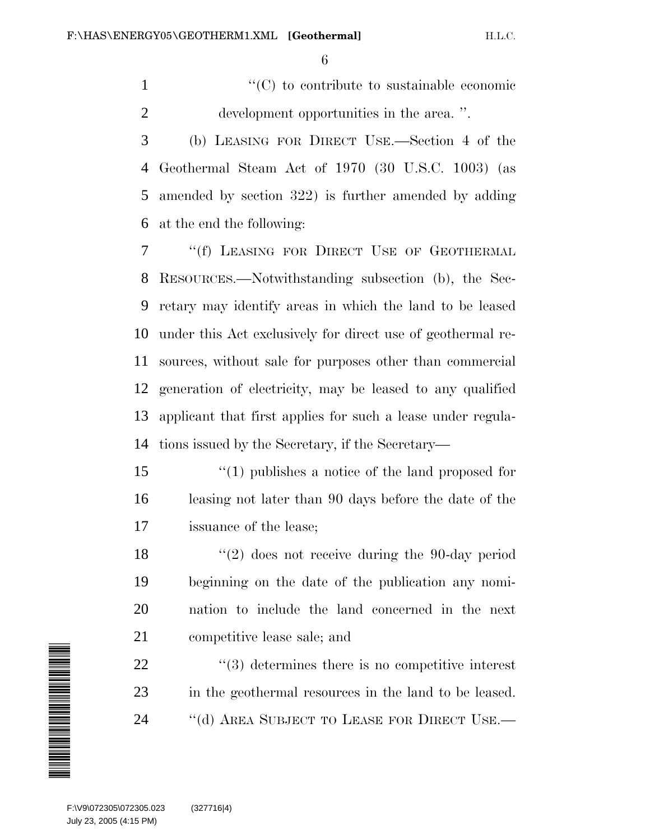1  $\lq(0)$  to contribute to sustainable economic development opportunities in the area. ''.

 (b) LEASING FOR DIRECT USE.—Section 4 of the Geothermal Steam Act of 1970 (30 U.S.C. 1003) (as amended by section 322) is further amended by adding at the end the following:

 ''(f) LEASING FOR DIRECT USE OF GEOTHERMAL RESOURCES.—Notwithstanding subsection (b), the Sec- retary may identify areas in which the land to be leased under this Act exclusively for direct use of geothermal re- sources, without sale for purposes other than commercial generation of electricity, may be leased to any qualified applicant that first applies for such a lease under regula-tions issued by the Secretary, if the Secretary—

 ''(1) publishes a notice of the land proposed for leasing not later than 90 days before the date of the issuance of the lease;

 ''(2) does not receive during the 90-day period beginning on the date of the publication any nomi- nation to include the land concerned in the next competitive lease sale; and

  $\qquad$   $\qquad$   $(3)$  determines there is no competitive interest in the geothermal resources in the land to be leased. 24 "(d) AREA SUBJECT TO LEASE FOR DIRECT USE.—

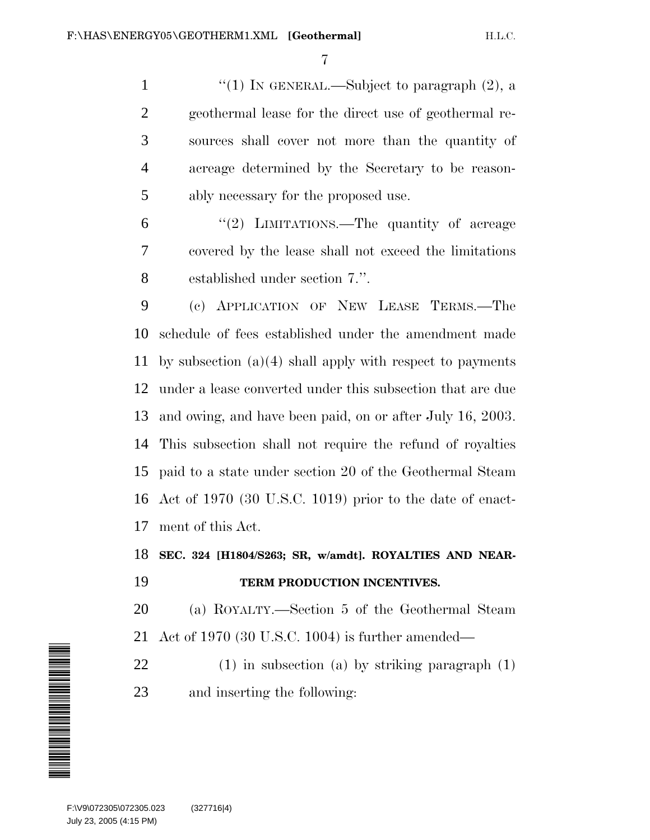1 "(1) IN GENERAL.—Subject to paragraph (2), a geothermal lease for the direct use of geothermal re- sources shall cover not more than the quantity of acreage determined by the Secretary to be reason-ably necessary for the proposed use.

6 "(2) LIMITATIONS.—The quantity of acreage covered by the lease shall not exceed the limitations established under section 7.''.

 (c) APPLICATION OF NEW LEASE TERMS.—The schedule of fees established under the amendment made by subsection (a)(4) shall apply with respect to payments under a lease converted under this subsection that are due and owing, and have been paid, on or after July 16, 2003. This subsection shall not require the refund of royalties paid to a state under section 20 of the Geothermal Steam Act of 1970 (30 U.S.C. 1019) prior to the date of enact-ment of this Act.

**SEC. 324 [H1804/S263; SR, w/amdt]. ROYALTIES AND NEAR-**

## **TERM PRODUCTION INCENTIVES.**

 (a) ROYALTY.—Section 5 of the Geothermal Steam Act of 1970 (30 U.S.C. 1004) is further amended—

 (1) in subsection (a) by striking paragraph (1) and inserting the following:

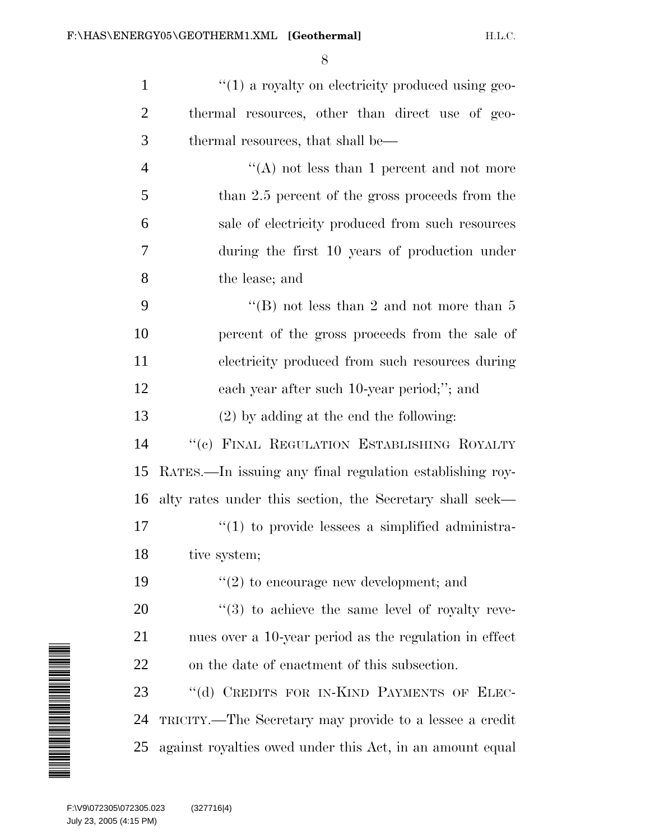| $\mathbf{1}$   | $\lq(1)$ a royalty on electricity produced using geo-           |
|----------------|-----------------------------------------------------------------|
| $\overline{2}$ | thermal resources, other than direct use of geo-                |
| 3              | thermal resources, that shall be—                               |
| $\overline{4}$ | "(A) not less than 1 percent and not more                       |
| 5              | than 2.5 percent of the gross proceeds from the                 |
| 6              | sale of electricity produced from such resources                |
| 7              | during the first 10 years of production under                   |
| 8              | the lease; and                                                  |
| 9              | "(B) not less than 2 and not more than $5$                      |
| 10             | percent of the gross proceeds from the sale of                  |
| 11             | electricity produced from such resources during                 |
| 12             | each year after such 10-year period;"; and                      |
| 13             | $(2)$ by adding at the end the following:                       |
| 14             | "(c) FINAL REGULATION ESTABLISHING ROYALTY                      |
| 15             | RATES.—In issuing any final regulation establishing roy-        |
| 16             | alty rates under this section, the Secretary shall seek—        |
| 17             | $\lq(1)$ to provide lessees a simplified administra-            |
| 18             | tive system;                                                    |
| 19             | $\lq(2)$ to encourage new development; and                      |
| 20             | $\cdot\cdot\cdot(3)$ to achieve the same level of royalty reve- |
| 21             | nues over a 10-year period as the regulation in effect          |
| 22             | on the date of enactment of this subsection.                    |
| 23             | "(d) CREDITS FOR IN-KIND PAYMENTS OF ELEC-                      |
| 24             | TRICITY.—The Secretary may provide to a lessee a credit         |
| 25             | against royalties owed under this Act, in an amount equal       |

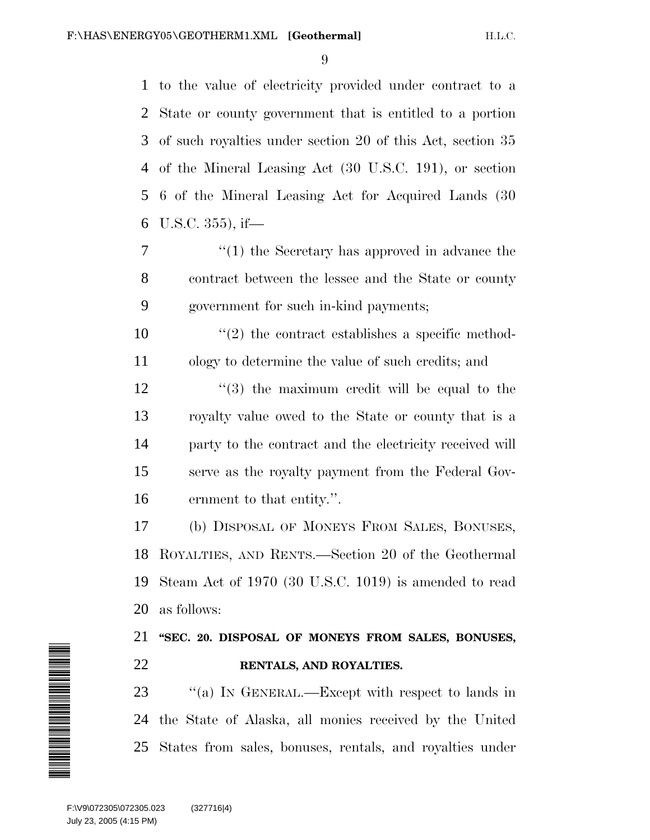to the value of electricity provided under contract to a State or county government that is entitled to a portion of such royalties under section 20 of this Act, section 35 of the Mineral Leasing Act (30 U.S.C. 191), or section 6 of the Mineral Leasing Act for Acquired Lands (30 U.S.C. 355), if—

- ''(1) the Secretary has approved in advance the contract between the lessee and the State or county government for such in-kind payments;
- $\frac{10}{2}$  the contract establishes a specific method-ology to determine the value of such credits; and
- $\frac{12}{2}$  ''(3) the maximum credit will be equal to the royalty value owed to the State or county that is a party to the contract and the electricity received will serve as the royalty payment from the Federal Gov-ernment to that entity.''.

 (b) DISPOSAL OF MONEYS FROM SALES, BONUSES, ROYALTIES, AND RENTS.—Section 20 of the Geothermal Steam Act of 1970 (30 U.S.C. 1019) is amended to read as follows:

## **''SEC. 20. DISPOSAL OF MONEYS FROM SALES, BONUSES, RENTALS, AND ROYALTIES.**

23 "(a) In GENERAL.—Except with respect to lands in the State of Alaska, all monies received by the United States from sales, bonuses, rentals, and royalties under

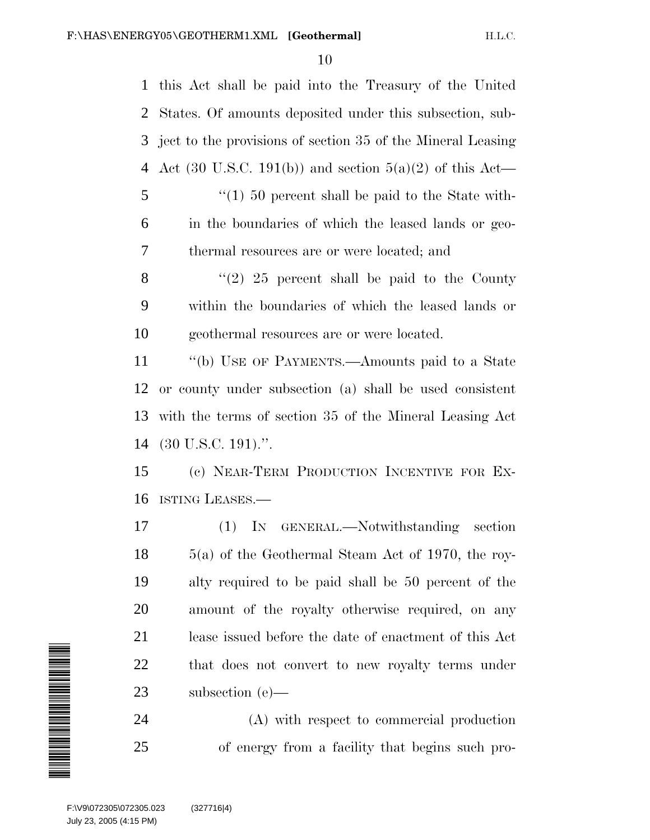this Act shall be paid into the Treasury of the United States. Of amounts deposited under this subsection, sub- ject to the provisions of section 35 of the Mineral Leasing Act (30 U.S.C. 191(b)) and section 5(a)(2) of this Act— ''(1) 50 percent shall be paid to the State with- in the boundaries of which the leased lands or geo- thermal resources are or were located; and  $\langle (2) 25 \rangle$  percent shall be paid to the County within the boundaries of which the leased lands or geothermal resources are or were located. ''(b) USE OF PAYMENTS.—Amounts paid to a State or county under subsection (a) shall be used consistent with the terms of section 35 of the Mineral Leasing Act (30 U.S.C. 191).''. (c) NEAR-TERM PRODUCTION INCENTIVE FOR EX- ISTING LEASES.— (1) IN GENERAL.—Notwithstanding section 5(a) of the Geothermal Steam Act of 1970, the roy- alty required to be paid shall be 50 percent of the amount of the royalty otherwise required, on any lease issued before the date of enactment of this Act that does not convert to new royalty terms under subsection (e)— (A) with respect to commercial production



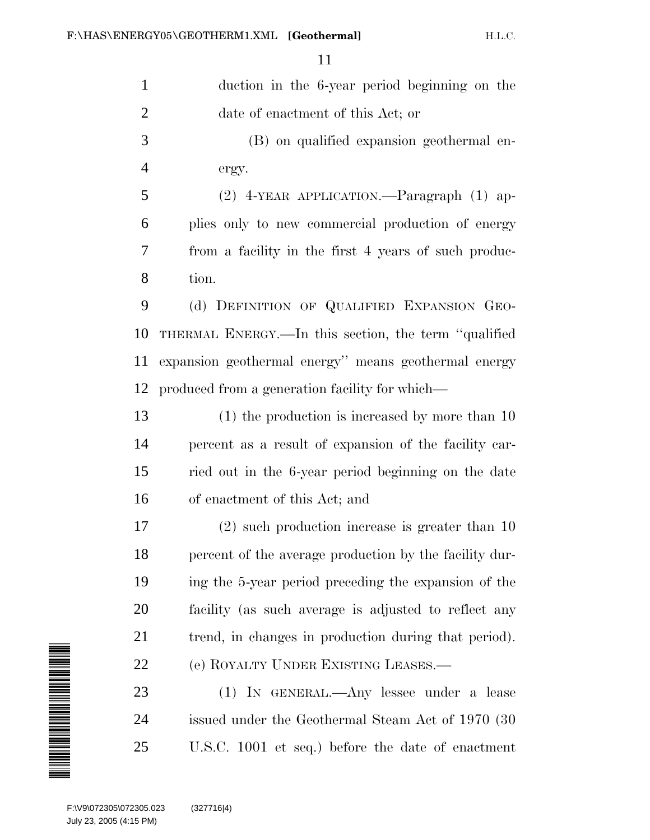| $\mathbf{1}$                                                                                                             | duction in the 6-year period beginning on the          |
|--------------------------------------------------------------------------------------------------------------------------|--------------------------------------------------------|
| $\overline{2}$                                                                                                           | date of enactment of this Act; or                      |
| 3                                                                                                                        | (B) on qualified expansion geothermal en-              |
| $\overline{4}$                                                                                                           | ergy.                                                  |
| 5                                                                                                                        | (2) 4-YEAR APPLICATION.—Paragraph (1) ap-              |
| 6                                                                                                                        | plies only to new commercial production of energy      |
| 7                                                                                                                        | from a facility in the first 4 years of such produc-   |
| 8                                                                                                                        | tion.                                                  |
| 9                                                                                                                        | (d) DEFINITION OF QUALIFIED EXPANSION GEO-             |
| 10                                                                                                                       | THERMAL ENERGY.—In this section, the term "qualified"  |
| 11                                                                                                                       | expansion geothermal energy" means geothermal energy   |
| 12                                                                                                                       | produced from a generation facility for which—         |
| 13                                                                                                                       | $(1)$ the production is increased by more than 10      |
| 14                                                                                                                       | percent as a result of expansion of the facility car-  |
| 15                                                                                                                       | ried out in the 6-year period beginning on the date    |
| 16                                                                                                                       | of enactment of this Act; and                          |
| 17                                                                                                                       | $(2)$ such production increase is greater than 10      |
| 18                                                                                                                       | percent of the average production by the facility dur- |
| 19                                                                                                                       | ing the 5-year period preceding the expansion of the   |
| 20                                                                                                                       | facility (as such average is adjusted to reflect any   |
| 21                                                                                                                       | trend, in changes in production during that period).   |
| 22                                                                                                                       | (e) ROYALTY UNDER EXISTING LEASES.—                    |
| NA MANGARAT KANANG KANAng Kalendary ng Kabupatèn Kalendarya, Kabupatèn Kalendarya, Kabupatèn Kalendarya, Kabupatèn<br>23 | (1) IN GENERAL.—Any lessee under a lease               |
| 24                                                                                                                       | issued under the Geothermal Steam Act of 1970 (30)     |
| 25                                                                                                                       | U.S.C. 1001 et seq.) before the date of enactment      |
|                                                                                                                          |                                                        |
| F:\V9\072305\072305.023<br>July 23, 2005 (4:15 PM)                                                                       | (327716 4)                                             |

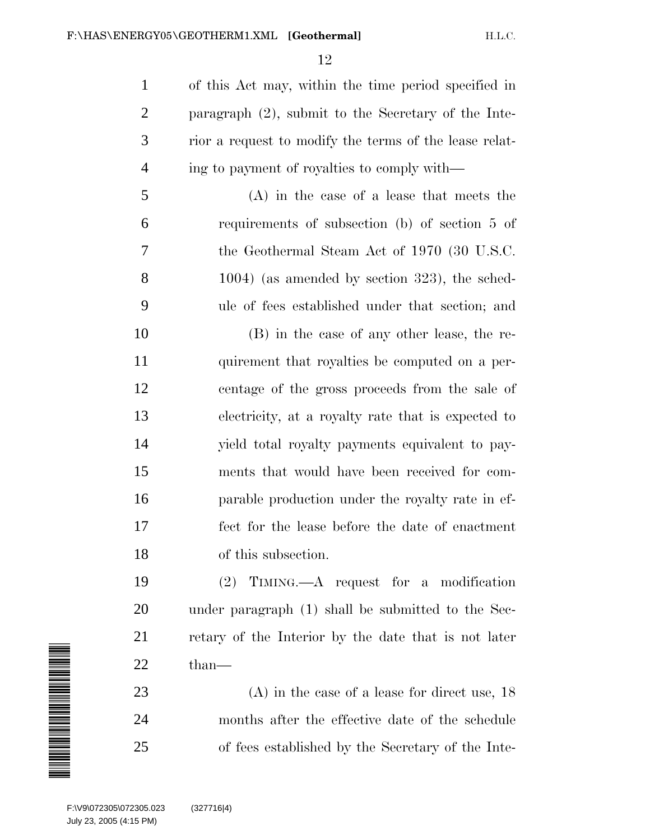of this Act may, within the time period specified in paragraph (2), submit to the Secretary of the Inte- rior a request to modify the terms of the lease relat-ing to payment of royalties to comply with—

 (A) in the case of a lease that meets the requirements of subsection (b) of section 5 of the Geothermal Steam Act of 1970 (30 U.S.C. 1004) (as amended by section 323), the sched-ule of fees established under that section; and

 (B) in the case of any other lease, the re- quirement that royalties be computed on a per- centage of the gross proceeds from the sale of electricity, at a royalty rate that is expected to yield total royalty payments equivalent to pay- ments that would have been received for com- parable production under the royalty rate in ef- fect for the lease before the date of enactment of this subsection.

 (2) TIMING.—A request for a modification under paragraph (1) shall be submitted to the Sec- retary of the Interior by the date that is not later than—

 (A) in the case of a lease for direct use, 18 months after the effective date of the schedule of fees established by the Secretary of the Inte-

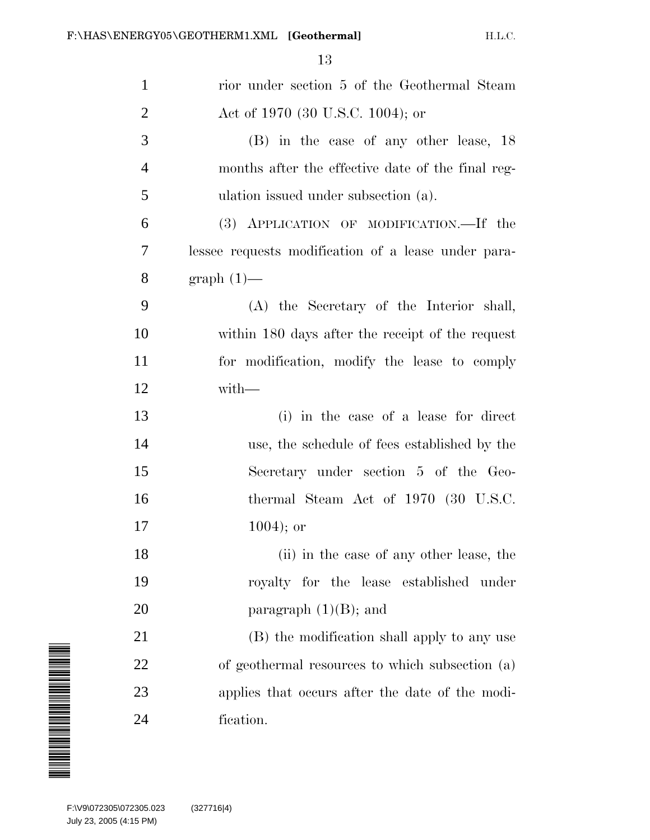| $\mathbf{1}$   | rior under section 5 of the Geothermal Steam        |
|----------------|-----------------------------------------------------|
| $\overline{2}$ | Act of 1970 (30 U.S.C. 1004); or                    |
| 3              | (B) in the case of any other lease, 18              |
| $\overline{4}$ | months after the effective date of the final reg-   |
| 5              | ulation issued under subsection (a).                |
| 6              | (3) APPLICATION OF MODIFICATION. If the             |
| 7              | lessee requests modification of a lease under para- |
| 8              | $graph(1)$ —                                        |
| 9              | (A) the Secretary of the Interior shall,            |
| 10             | within 180 days after the receipt of the request    |
| 11             | for modification, modify the lease to comply        |
| 12             | with-                                               |
| 13             | (i) in the case of a lease for direct               |
| 14             | use, the schedule of fees established by the        |
| 15             | Secretary under section 5 of the Geo-               |
| 16             | thermal Steam Act of 1970 (30 U.S.C.                |
| 17             | $1004$ ; or                                         |
| 18             | (ii) in the case of any other lease, the            |
| 19             | royalty for the lease established under             |
| 20             | paragraph $(1)(B)$ ; and                            |
| 21             | (B) the modification shall apply to any use         |
| 22             | of geothermal resources to which subsection (a)     |
| 23             | applies that occurs after the date of the modi-     |
| 24             | fication.                                           |
|                |                                                     |

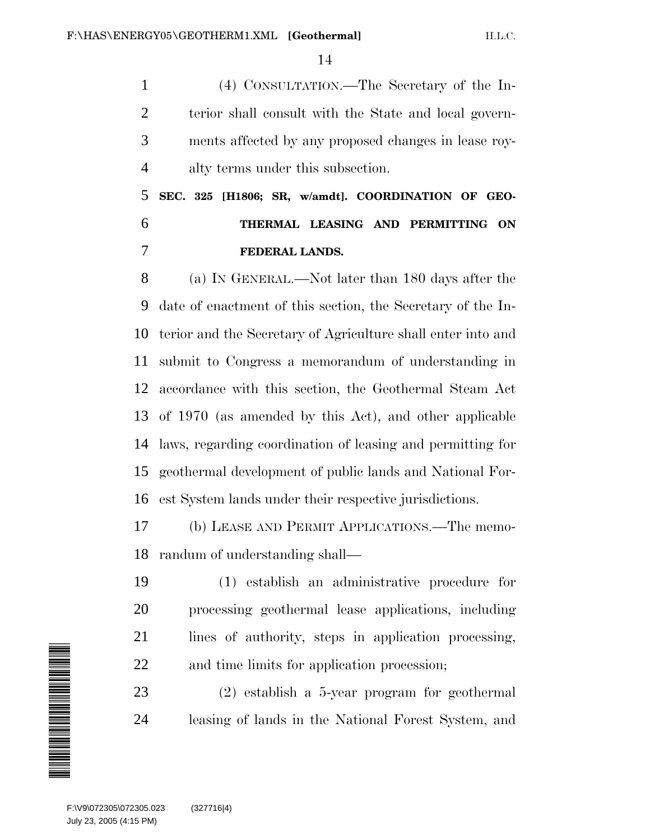(4) CONSULTATION.—The Secretary of the In- terior shall consult with the State and local govern- ments affected by any proposed changes in lease roy-alty terms under this subsection.

 **SEC. 325 [H1806; SR, w/amdt]. COORDINATION OF GEO- THERMAL LEASING AND PERMITTING ON FEDERAL LANDS.**

 (a) IN GENERAL.—Not later than 180 days after the date of enactment of this section, the Secretary of the In- terior and the Secretary of Agriculture shall enter into and submit to Congress a memorandum of understanding in accordance with this section, the Geothermal Steam Act of 1970 (as amended by this Act), and other applicable laws, regarding coordination of leasing and permitting for geothermal development of public lands and National For-est System lands under their respective jurisdictions.

 (b) LEASE AND PERMIT APPLICATIONS.—The memo-randum of understanding shall—

 (1) establish an administrative procedure for processing geothermal lease applications, including lines of authority, steps in application processing, and time limits for application procession;

 (2) establish a 5-year program for geothermal leasing of lands in the National Forest System, and

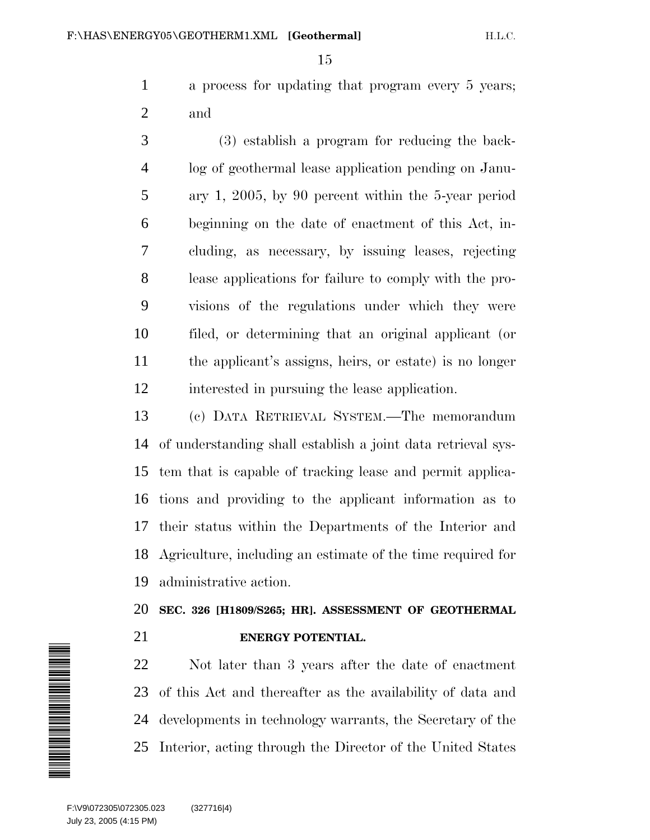a process for updating that program every 5 years; and

 (3) establish a program for reducing the back- log of geothermal lease application pending on Janu- ary 1, 2005, by 90 percent within the 5-year period beginning on the date of enactment of this Act, in- cluding, as necessary, by issuing leases, rejecting lease applications for failure to comply with the pro- visions of the regulations under which they were filed, or determining that an original applicant (or the applicant's assigns, heirs, or estate) is no longer interested in pursuing the lease application.

 (c) DATA RETRIEVAL SYSTEM.—The memorandum of understanding shall establish a joint data retrieval sys- tem that is capable of tracking lease and permit applica- tions and providing to the applicant information as to their status within the Departments of the Interior and Agriculture, including an estimate of the time required for administrative action.

**SEC. 326 [H1809/S265; HR]. ASSESSMENT OF GEOTHERMAL**

## **ENERGY POTENTIAL.**

 Not later than 3 years after the date of enactment of this Act and thereafter as the availability of data and developments in technology warrants, the Secretary of the Interior, acting through the Director of the United States

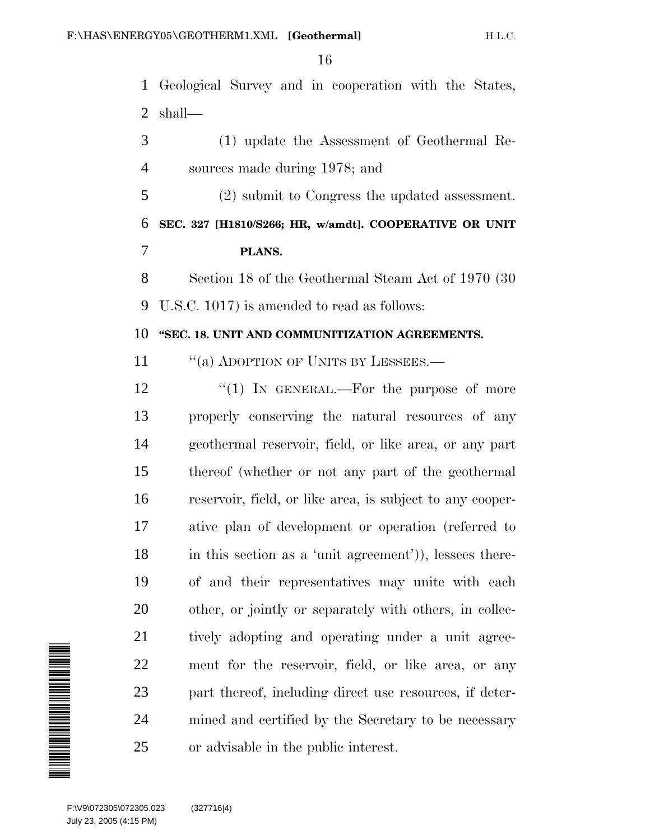Geological Survey and in cooperation with the States, shall—

 (1) update the Assessment of Geothermal Re-sources made during 1978; and

 (2) submit to Congress the updated assessment. **SEC. 327 [H1810/S266; HR, w/amdt]. COOPERATIVE OR UNIT**

#### **PLANS.**

 Section 18 of the Geothermal Steam Act of 1970 (30 U.S.C. 1017) is amended to read as follows:

#### **''SEC. 18. UNIT AND COMMUNITIZATION AGREEMENTS.**

11 "(a) ADOPTION OF UNITS BY LESSEES.—

12 "(1) In GENERAL.—For the purpose of more properly conserving the natural resources of any geothermal reservoir, field, or like area, or any part thereof (whether or not any part of the geothermal reservoir, field, or like area, is subject to any cooper- ative plan of development or operation (referred to in this section as a 'unit agreement')), lessees there- of and their representatives may unite with each other, or jointly or separately with others, in collec- tively adopting and operating under a unit agree- ment for the reservoir, field, or like area, or any part thereof, including direct use resources, if deter- mined and certified by the Secretary to be necessary or advisable in the public interest.

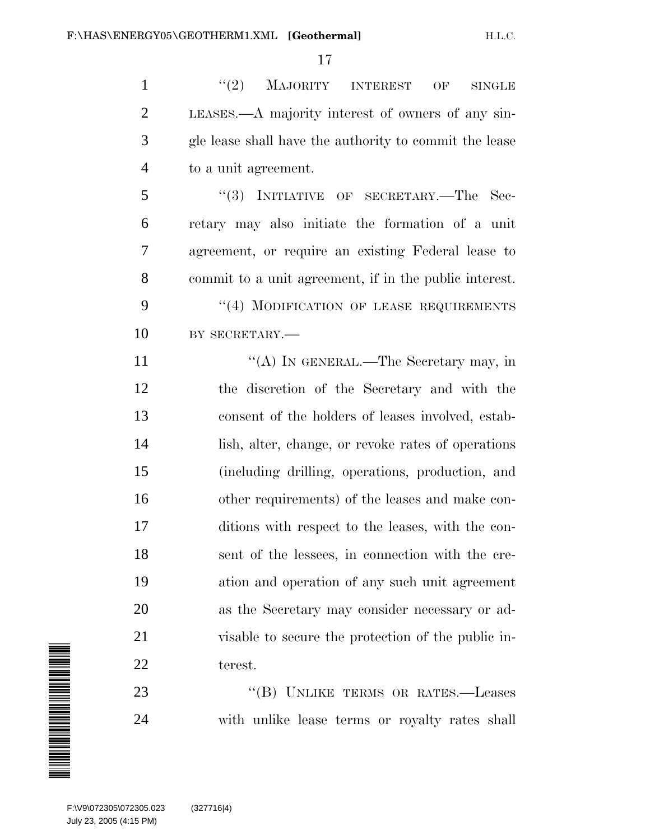1 "(2) MAJORITY INTEREST OF SINGLE LEASES.—A majority interest of owners of any sin- gle lease shall have the authority to commit the lease to a unit agreement.

 ''(3) INITIATIVE OF SECRETARY.—The Sec- retary may also initiate the formation of a unit agreement, or require an existing Federal lease to commit to a unit agreement, if in the public interest. 9 "(4) MODIFICATION OF LEASE REQUIREMENTS 10 BY SECRETARY.—

11 ""(A) IN GENERAL.—The Secretary may, in the discretion of the Secretary and with the consent of the holders of leases involved, estab- lish, alter, change, or revoke rates of operations (including drilling, operations, production, and other requirements) of the leases and make con- ditions with respect to the leases, with the con- sent of the lessees, in connection with the cre- ation and operation of any such unit agreement as the Secretary may consider necessary or ad- visable to secure the protection of the public in-terest.

23 "(B) UNLIKE TERMS OR RATES.—Leases with unlike lease terms or royalty rates shall

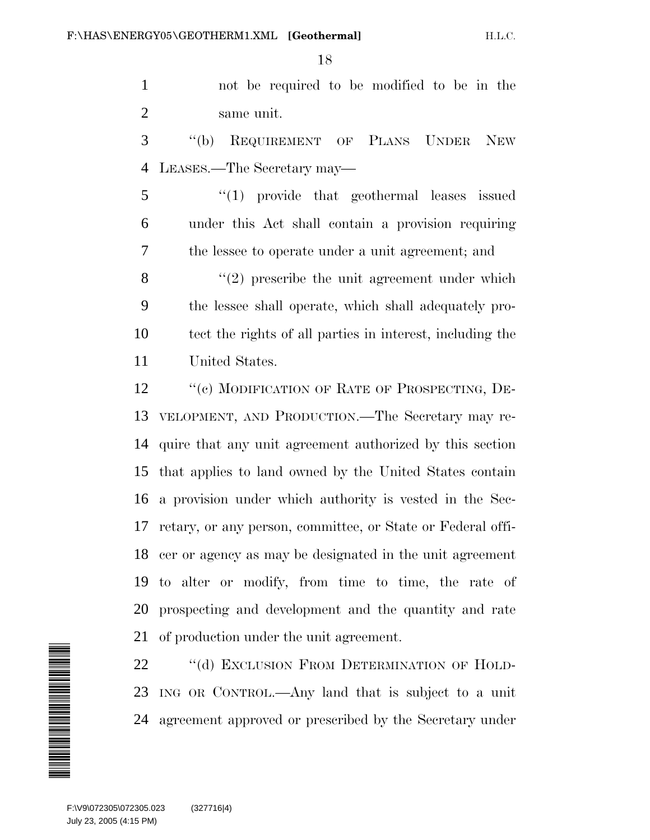not be required to be modified to be in the same unit.

 ''(b) REQUIREMENT OF PLANS UNDER NEW LEASES.—The Secretary may—

 ''(1) provide that geothermal leases issued under this Act shall contain a provision requiring the lessee to operate under a unit agreement; and

 $\langle \langle 2 \rangle$  prescribe the unit agreement under which the lessee shall operate, which shall adequately pro- tect the rights of all parties in interest, including the United States.

12 "(c) MODIFICATION OF RATE OF PROSPECTING, DE- VELOPMENT, AND PRODUCTION.—The Secretary may re- quire that any unit agreement authorized by this section that applies to land owned by the United States contain a provision under which authority is vested in the Sec- retary, or any person, committee, or State or Federal offi- cer or agency as may be designated in the unit agreement to alter or modify, from time to time, the rate of prospecting and development and the quantity and rate of production under the unit agreement.

22 "(d) EXCLUSION FROM DETERMINATION OF HOLD- ING OR CONTROL.—Any land that is subject to a unit agreement approved or prescribed by the Secretary under

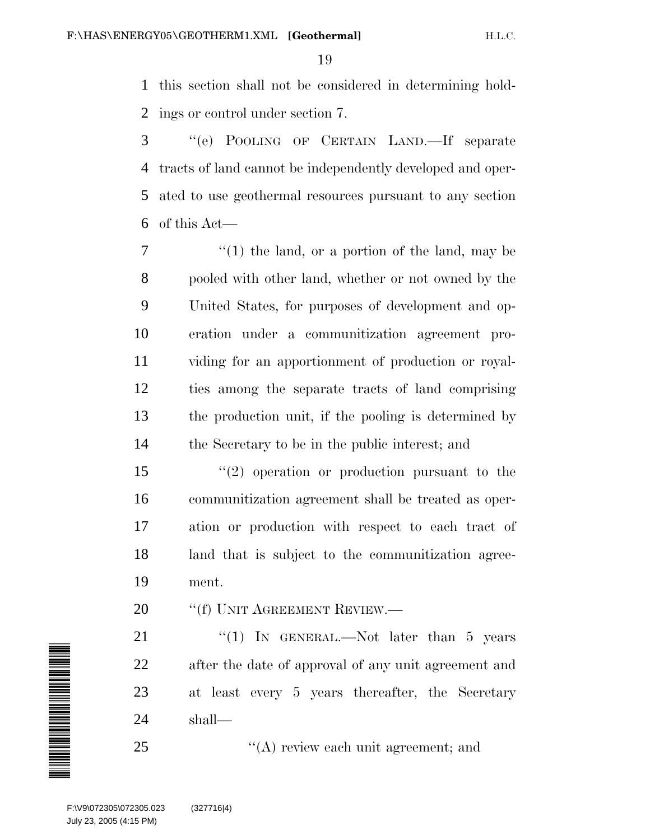this section shall not be considered in determining hold-ings or control under section 7.

 ''(e) POOLING OF CERTAIN LAND.—If separate tracts of land cannot be independently developed and oper- ated to use geothermal resources pursuant to any section of this Act—

 $7 \t\t''(1)$  the land, or a portion of the land, may be pooled with other land, whether or not owned by the United States, for purposes of development and op- eration under a communitization agreement pro- viding for an apportionment of production or royal- ties among the separate tracts of land comprising the production unit, if the pooling is determined by the Secretary to be in the public interest; and

 ''(2) operation or production pursuant to the communitization agreement shall be treated as oper- ation or production with respect to each tract of land that is subject to the communitization agree-ment.

20 <sup>"</sup>(f) UNIT AGREEMENT REVIEW.—

21 "(1) IN GENERAL.—Not later than 5 years after the date of approval of any unit agreement and at least every 5 years thereafter, the Secretary shall—

''(A) review each unit agreement; and

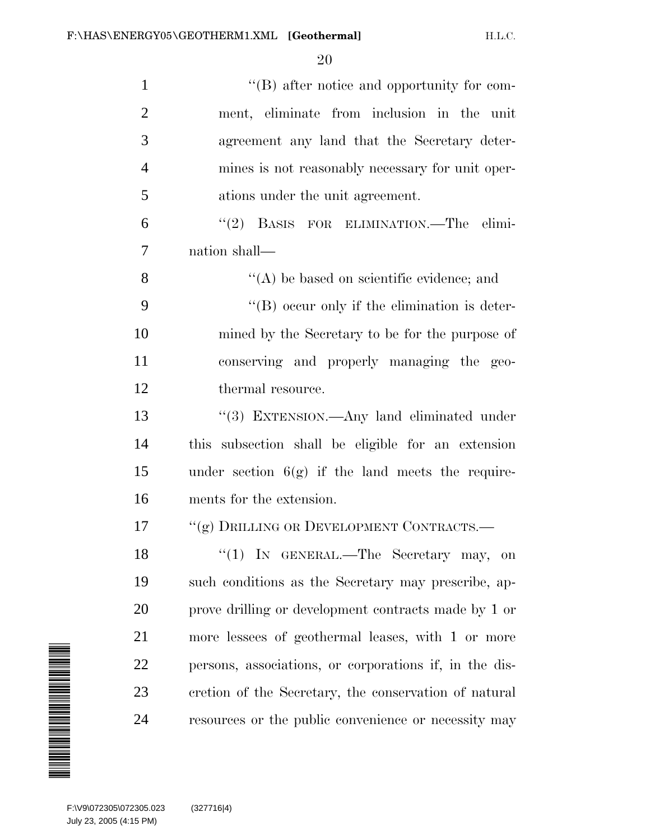| $\mathbf{1}$                                                                                                         | $\lq\lq (B)$ after notice and opportunity for com-     |
|----------------------------------------------------------------------------------------------------------------------|--------------------------------------------------------|
| $\overline{2}$                                                                                                       | ment, eliminate from inclusion in the unit             |
| 3                                                                                                                    | agreement any land that the Secretary deter-           |
| $\overline{4}$                                                                                                       | mines is not reasonably necessary for unit oper-       |
| 5                                                                                                                    | ations under the unit agreement.                       |
| 6                                                                                                                    | BASIS FOR ELIMINATION.—The elimi-<br>(2)               |
| 7                                                                                                                    | nation shall—                                          |
| 8                                                                                                                    | $\lq\lq$ be based on scientific evidence; and          |
| 9                                                                                                                    | "(B) occur only if the elimination is deter-           |
| 10                                                                                                                   | mined by the Secretary to be for the purpose of        |
| 11                                                                                                                   | conserving and properly managing the geo-              |
| 12                                                                                                                   | thermal resource.                                      |
| 13                                                                                                                   | "(3) EXTENSION.—Any land eliminated under              |
| 14                                                                                                                   | this subsection shall be eligible for an extension     |
| 15                                                                                                                   | under section $6(g)$ if the land meets the require-    |
| 16                                                                                                                   | ments for the extension.                               |
| 17                                                                                                                   | "(g) DRILLING OR DEVELOPMENT CONTRACTS.—               |
| 18                                                                                                                   | "(1) IN GENERAL.—The Secretary may,<br>on              |
| 19                                                                                                                   | such conditions as the Secretary may prescribe, ap-    |
| 20                                                                                                                   | prove drilling or development contracts made by 1 or   |
| 21                                                                                                                   | more lessees of geothermal leases, with 1 or more      |
| 22                                                                                                                   | persons, associations, or corporations if, in the dis- |
| 23                                                                                                                   | cretion of the Secretary, the conservation of natural  |
| 24                                                                                                                   | resources or the public convenience or necessity may   |
| <b>MANAGERIA MANAGERIA ANGELIA ANGELIA ANGELIA ANGELIA ANGELIA ANGELIA ANGELIA ANGELIA ANGELIA ANGELIA ANGELIA A</b> |                                                        |
|                                                                                                                      |                                                        |
| F:\V9\072305\072305.023<br>July 23, 2005 (4:15 PM)                                                                   | (327716 4)                                             |

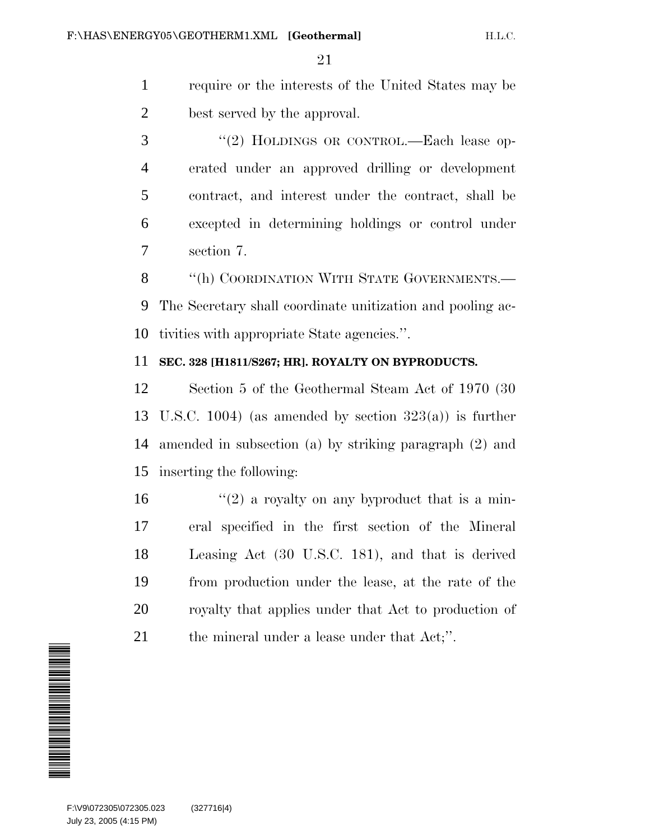- require or the interests of the United States may be best served by the approval.
- 3 "(2) HOLDINGS OR CONTROL.—Each lease op- erated under an approved drilling or development contract, and interest under the contract, shall be excepted in determining holdings or control under section 7.

8 "(h) COORDINATION WITH STATE GOVERNMENTS.— The Secretary shall coordinate unitization and pooling ac-tivities with appropriate State agencies.''.

## **SEC. 328 [H1811/S267; HR]. ROYALTY ON BYPRODUCTS.**

 Section 5 of the Geothermal Steam Act of 1970 (30 13 U.S.C. 1004) (as amended by section  $323(a)$ ) is further amended in subsection (a) by striking paragraph (2) and inserting the following:

 $\frac{16}{2}$  a royalty on any byproduct that is a min- eral specified in the first section of the Mineral Leasing Act (30 U.S.C. 181), and that is derived from production under the lease, at the rate of the royalty that applies under that Act to production of 21 the mineral under a lease under that Act;".

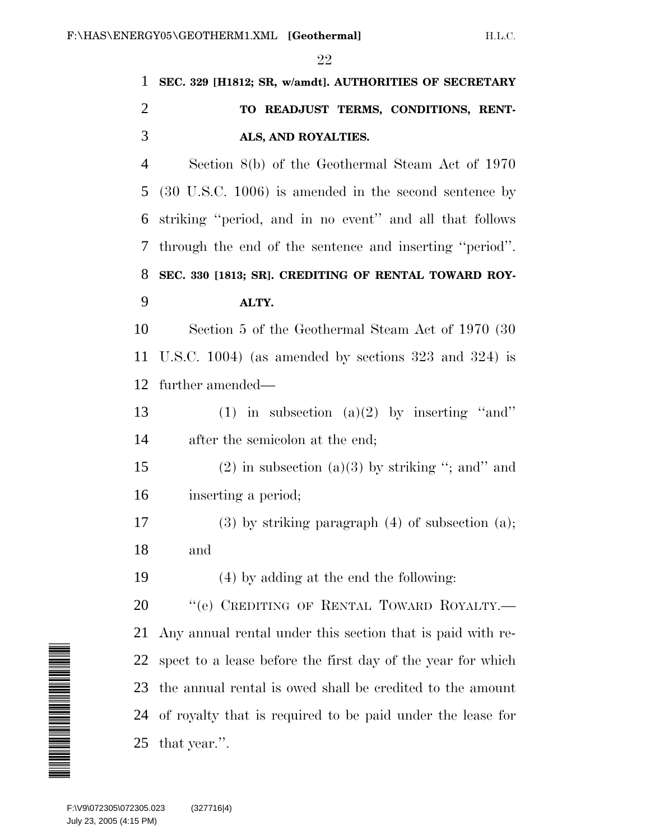| $\mathbf{1}$   | SEC. 329 [H1812; SR, w/amdt]. AUTHORITIES OF SECRETARY           |
|----------------|------------------------------------------------------------------|
| $\overline{2}$ | TO READJUST TERMS, CONDITIONS, RENT-                             |
| 3              | ALS, AND ROYALTIES.                                              |
| 4              | Section 8(b) of the Geothermal Steam Act of 1970                 |
| 5              | $(30 \text{ U.S.C. } 1006)$ is amended in the second sentence by |
| 6              | striking "period, and in no event" and all that follows          |
| 7              | through the end of the sentence and inserting "period".          |
| 8              | SEC. 330 [1813; SR]. CREDITING OF RENTAL TOWARD ROY-             |
| 9              | ALTY.                                                            |
| 10             | Section 5 of the Geothermal Steam Act of 1970 (30)               |
| 11             | U.S.C. 1004) (as amended by sections $323$ and $324$ ) is        |
| 12             | further amended—                                                 |
| 13             | (1) in subsection (a)(2) by inserting "and"                      |
| 14             | after the semicolon at the end;                                  |
| 15             | $(2)$ in subsection $(a)(3)$ by striking "; and" and             |
| 16             | inserting a period;                                              |
| 17             | $(3)$ by striking paragraph $(4)$ of subsection $(a)$ ;          |
| 18             | and                                                              |
| 19             | (4) by adding at the end the following:                          |
| 20             | "(e) CREDITING OF RENTAL TOWARD ROYALTY.-                        |
| 21             | Any annual rental under this section that is paid with re-       |
| 22             | spect to a lease before the first day of the year for which      |
| 23             | the annual rental is owed shall be credited to the amount        |
| 24             | of royalty that is required to be paid under the lease for       |
| 25             | that year.".                                                     |
|                |                                                                  |

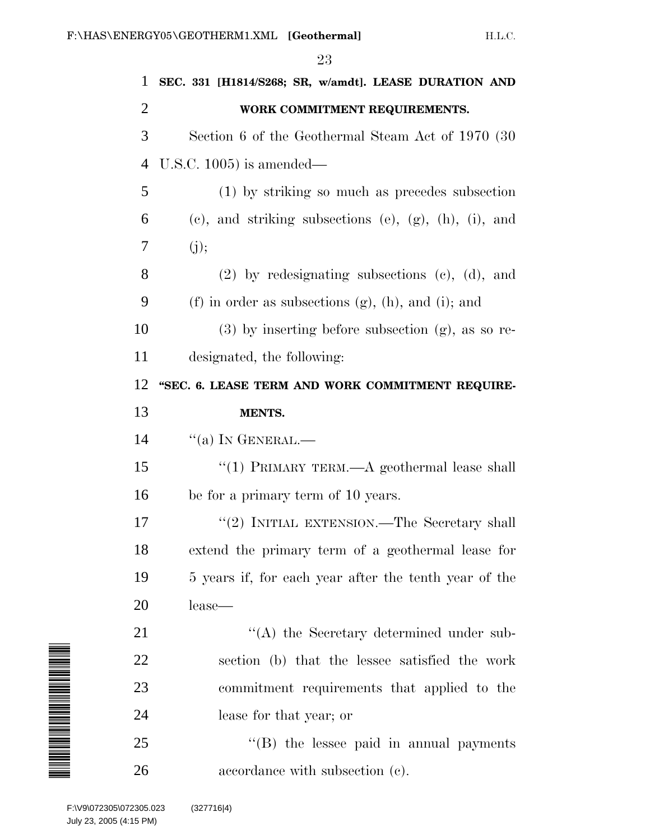| 1                                                                                                                           | SEC. 331 [H1814/S268; SR, w/amdt]. LEASE DURATION AND                |
|-----------------------------------------------------------------------------------------------------------------------------|----------------------------------------------------------------------|
| $\overline{2}$                                                                                                              | WORK COMMITMENT REQUIREMENTS.                                        |
| 3                                                                                                                           | Section 6 of the Geothermal Steam Act of 1970 (30)                   |
| 4                                                                                                                           | U.S.C. $1005$ ) is amended—                                          |
| 5                                                                                                                           | (1) by striking so much as precedes subsection                       |
| 6                                                                                                                           | $(e)$ , and striking subsections $(e)$ , $(g)$ , $(h)$ , $(i)$ , and |
| 7                                                                                                                           | (j);                                                                 |
| 8                                                                                                                           | $(2)$ by redesignating subsections $(e)$ , $(d)$ , and               |
| 9                                                                                                                           | (f) in order as subsections $(g)$ , $(h)$ , and $(i)$ ; and          |
| 10                                                                                                                          | $(3)$ by inserting before subsection $(g)$ , as so re-               |
| 11                                                                                                                          | designated, the following:                                           |
| 12                                                                                                                          | "SEC. 6. LEASE TERM AND WORK COMMITMENT REQUIRE-                     |
| 13                                                                                                                          | MENTS.                                                               |
| 14                                                                                                                          | $``(a)$ In GENERAL.—                                                 |
| 15                                                                                                                          | "(1) PRIMARY TERM.— $A$ geothermal lease shall                       |
| 16                                                                                                                          | be for a primary term of 10 years.                                   |
| 17                                                                                                                          | "(2) INITIAL EXTENSION.—The Secretary shall                          |
| 18                                                                                                                          | extend the primary term of a geothermal lease for                    |
| 19                                                                                                                          | 5 years if, for each year after the tenth year of the                |
| 20                                                                                                                          | lease-                                                               |
| 21                                                                                                                          | $\lq\lq$ the Secretary determined under sub-                         |
| 22                                                                                                                          | section (b) that the lessee satisfied the work                       |
| <u>M A THE MANAGER STATE OF A THE STATE OF A THE STATE OF A THE STATE OF A THE STATE OF A THE STATE OF A THE STAT</u><br>23 | commitment requirements that applied to the                          |
| 24                                                                                                                          | lease for that year; or                                              |
| 25                                                                                                                          | "(B) the lessee paid in annual payments                              |
| 26                                                                                                                          | accordance with subsection (c).                                      |
| F:\V9\072305\072305.023<br>July 23, 2005 (4:15 PM)                                                                          | (327716 4)                                                           |

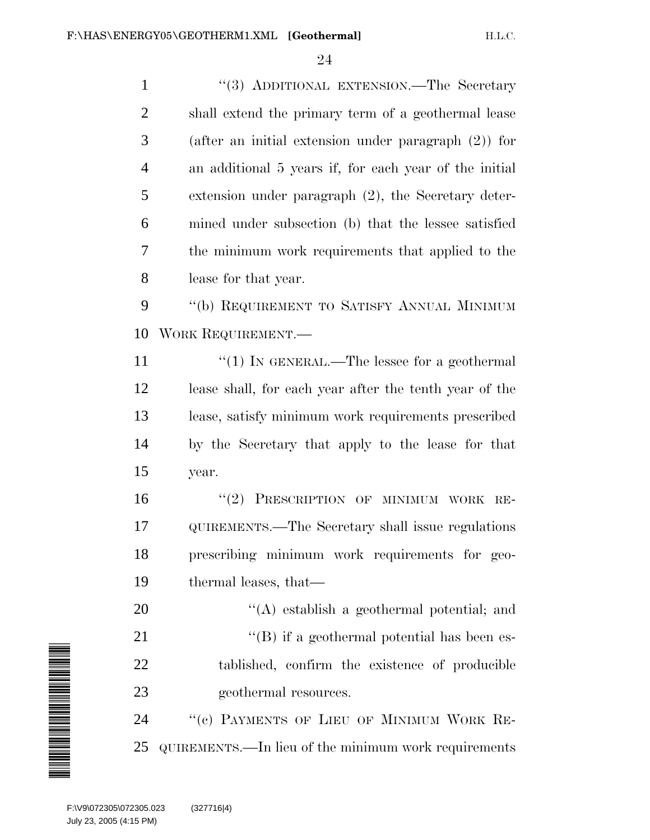1 ''(3) ADDITIONAL EXTENSION.—The Secretary shall extend the primary term of a geothermal lease (after an initial extension under paragraph (2)) for an additional 5 years if, for each year of the initial extension under paragraph (2), the Secretary deter- mined under subsection (b) that the lessee satisfied the minimum work requirements that applied to the lease for that year. ''(b) REQUIREMENT TO SATISFY ANNUAL MINIMUM

WORK REQUIREMENT.—

 $\frac{1}{2}$  (1) In GENERAL.—The lessee for a geothermal lease shall, for each year after the tenth year of the lease, satisfy minimum work requirements prescribed by the Secretary that apply to the lease for that year.

16 "(2) PRESCRIPTION OF MINIMUM WORK RE- QUIREMENTS.—The Secretary shall issue regulations prescribing minimum work requirements for geo-thermal leases, that—

20  $\langle (A)$  establish a geothermal potential; and 21 ''(B) if a geothermal potential has been es- tablished, confirm the existence of producible 23 geothermal resources.

24 "(c) PAYMENTS OF LIEU OF MINIMUM WORK RE-QUIREMENTS.—In lieu of the minimum work requirements



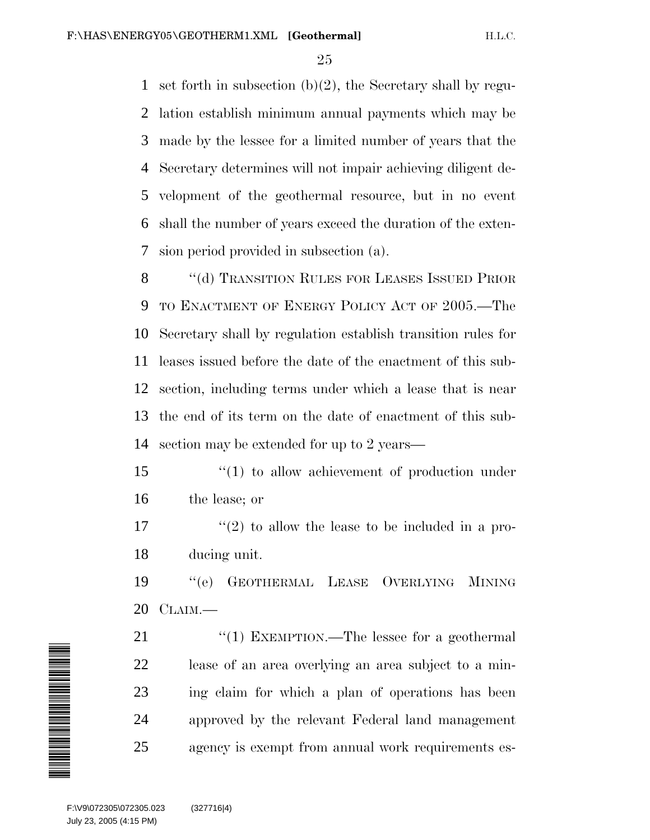set forth in subsection (b)(2), the Secretary shall by regu- lation establish minimum annual payments which may be made by the lessee for a limited number of years that the Secretary determines will not impair achieving diligent de- velopment of the geothermal resource, but in no event shall the number of years exceed the duration of the exten-sion period provided in subsection (a).

8 "(d) TRANSITION RULES FOR LEASES ISSUED PRIOR 9 TO ENACTMENT OF ENERGY POLICY ACT OF 2005.—The Secretary shall by regulation establish transition rules for leases issued before the date of the enactment of this sub- section, including terms under which a lease that is near the end of its term on the date of enactment of this sub-section may be extended for up to 2 years—

15  $\frac{1}{2}$  (1) to allow achievement of production under the lease; or

 $\frac{17}{2}$  ''(2) to allow the lease to be included in a pro-ducing unit.

 ''(e) GEOTHERMAL LEASE OVERLYING MINING CLAIM.—

21 "(1) EXEMPTION.—The lessee for a geothermal lease of an area overlying an area subject to a min- ing claim for which a plan of operations has been approved by the relevant Federal land management agency is exempt from annual work requirements es-

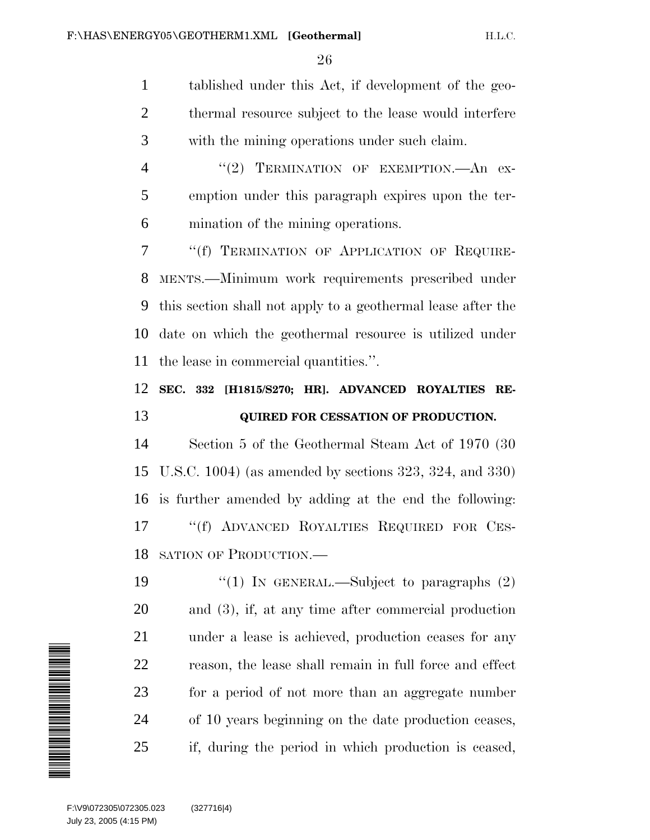tablished under this Act, if development of the geo-2 thermal resource subject to the lease would interfere with the mining operations under such claim.

4 "(2) TERMINATION OF EXEMPTION.—An ex- emption under this paragraph expires upon the ter-mination of the mining operations.

 ''(f) TERMINATION OF APPLICATION OF REQUIRE- MENTS.—Minimum work requirements prescribed under this section shall not apply to a geothermal lease after the date on which the geothermal resource is utilized under the lease in commercial quantities.''.

## **SEC. 332 [H1815/S270; HR]. ADVANCED ROYALTIES RE-QUIRED FOR CESSATION OF PRODUCTION.**

 Section 5 of the Geothermal Steam Act of 1970 (30 U.S.C. 1004) (as amended by sections 323, 324, and 330) is further amended by adding at the end the following: ''(f) ADVANCED ROYALTIES REQUIRED FOR CES-SATION OF PRODUCTION.—

 $\frac{1}{2}$  (1) In GENERAL.—Subject to paragraphs (2) and (3), if, at any time after commercial production under a lease is achieved, production ceases for any reason, the lease shall remain in full force and effect for a period of not more than an aggregate number of 10 years beginning on the date production ceases, if, during the period in which production is ceased,

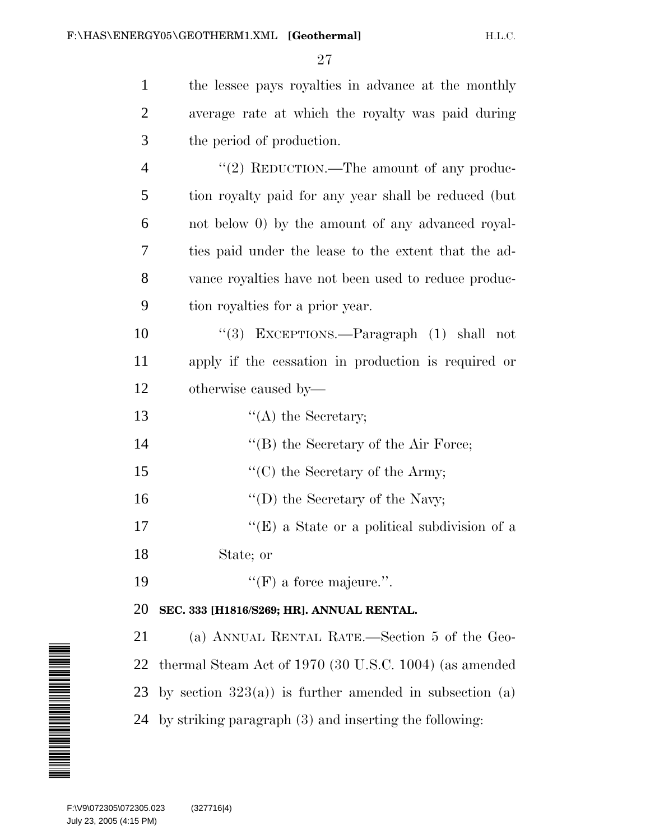| $\mathbf{1}$   | the lessee pays royalties in advance at the monthly       |
|----------------|-----------------------------------------------------------|
| $\overline{2}$ | average rate at which the royalty was paid during         |
| 3              | the period of production.                                 |
| $\overline{4}$ | "(2) REDUCTION.—The amount of any produc-                 |
| 5              | tion royalty paid for any year shall be reduced (but      |
| 6              | not below 0) by the amount of any advanced royal-         |
| 7              | ties paid under the lease to the extent that the ad-      |
| 8              | vance royalties have not been used to reduce produc-      |
| 9              | tion royalties for a prior year.                          |
| 10             | "(3) EXCEPTIONS.—Paragraph (1) shall not                  |
| 11             | apply if the cessation in production is required or       |
| 12             | otherwise caused by—                                      |
| 13             | $\lq\lq$ the Secretary;                                   |
| 14             | "(B) the Secretary of the Air Force;                      |
| 15             | $\lq\lq$ (C) the Secretary of the Army;                   |
| 16             | $\lq\lq$ (D) the Secretary of the Navy;                   |
| 17             | "(E) a State or a political subdivision of a              |
| 18             | State; or                                                 |
| 19             | $\lq\lq(F)$ a force majeure.".                            |
| 20             | SEC. 333 [H1816/S269; HR]. ANNUAL RENTAL.                 |
| 21             | (a) ANNUAL RENTAL RATE.—Section 5 of the Geo-             |
| 22             | thermal Steam Act of 1970 (30 U.S.C. 1004) (as amended    |
| 23             | by section $323(a)$ is further amended in subsection (a)  |
|                | 24 by striking paragraph (3) and inserting the following: |
|                |                                                           |

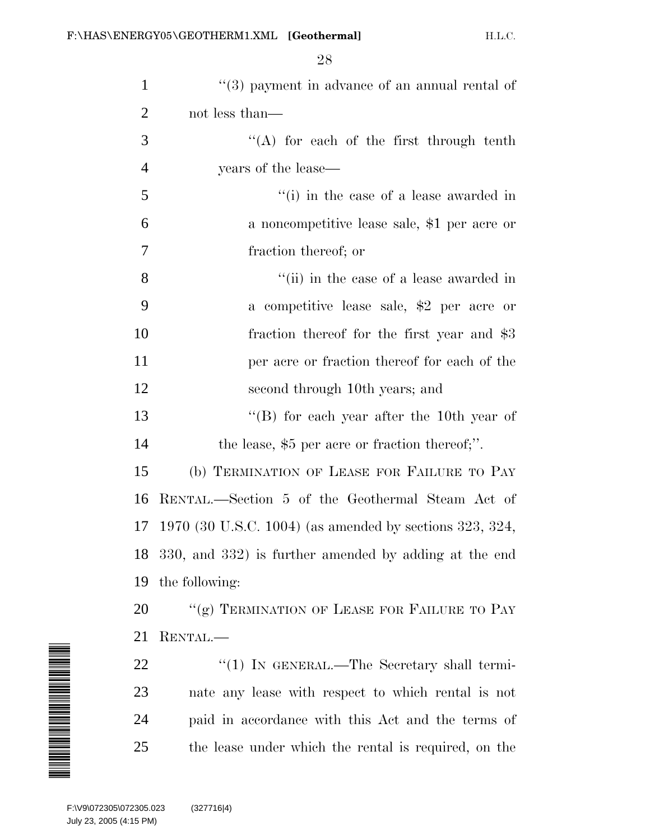| $\mathbf{1}$   | $(3)$ payment in advance of an annual rental of          |
|----------------|----------------------------------------------------------|
| $\overline{2}$ | not less than—                                           |
| 3              | "(A) for each of the first through tenth                 |
| $\overline{4}$ | years of the lease—                                      |
| 5              | "(i) in the case of a lease awarded in                   |
| 6              | a noncompetitive lease sale, \$1 per acre or             |
| 7              | fraction thereof; or                                     |
| 8              | "(ii) in the case of a lease awarded in                  |
| 9              | a competitive lease sale, \$2 per acre or                |
| 10             | fraction thereof for the first year and \$3              |
| 11             | per acre or fraction thereof for each of the             |
| 12             | second through 10th years; and                           |
| 13             | $\lq$ (B) for each year after the 10th year of           |
| 14             | the lease, $$5$ per acre or fraction thereof;".          |
| 15             | (b) TERMINATION OF LEASE FOR FAILURE TO PAY              |
| 16             | RENTAL.—Section 5 of the Geothermal Steam Act of         |
| 17             | 1970 (30 U.S.C. 1004) (as amended by sections 323, 324,  |
|                | 18 330, and 332) is further amended by adding at the end |
| 19             | the following:                                           |
| 20             | "(g) TERMINATION OF LEASE FOR FAILURE TO PAY             |
| 21             | RENTAL.—                                                 |
| 22             | " $(1)$ IN GENERAL.—The Secretary shall termi-           |
| 23             | nate any lease with respect to which rental is not       |
| 24             | paid in accordance with this Act and the terms of        |
| 25             | the lease under which the rental is required, on the     |

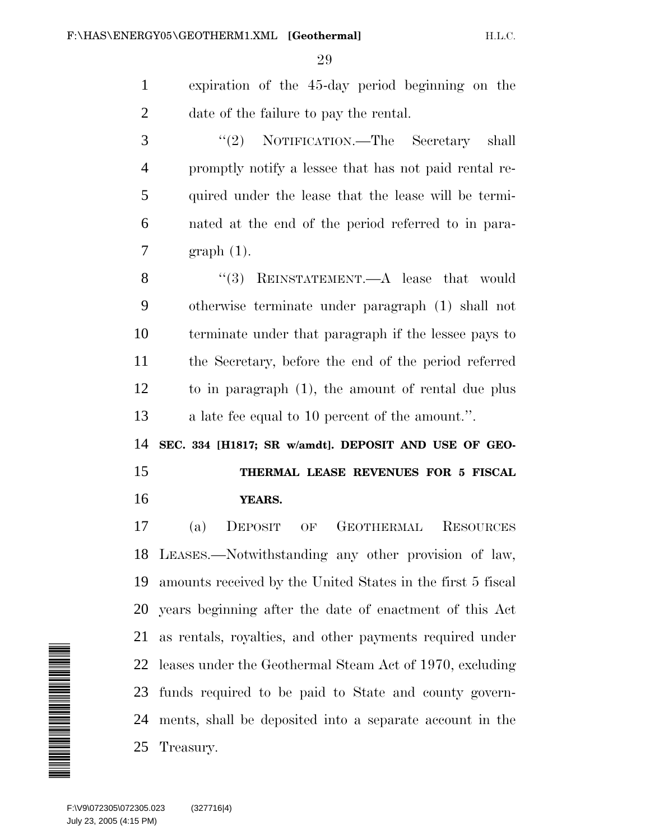expiration of the 45-day period beginning on the date of the failure to pay the rental. ''(2) NOTIFICATION.—The Secretary shall promptly notify a lessee that has not paid rental re- quired under the lease that the lease will be termi- nated at the end of the period referred to in para- graph (1). 8 "(3) REINSTATEMENT.—A lease that would otherwise terminate under paragraph (1) shall not terminate under that paragraph if the lessee pays to the Secretary, before the end of the period referred to in paragraph (1), the amount of rental due plus a late fee equal to 10 percent of the amount.''. **SEC. 334 [H1817; SR w/amdt]. DEPOSIT AND USE OF GEO- THERMAL LEASE REVENUES FOR 5 FISCAL YEARS.** (a) DEPOSIT OF GEOTHERMAL RESOURCES LEASES.—Notwithstanding any other provision of law, amounts received by the United States in the first 5 fiscal years beginning after the date of enactment of this Act as rentals, royalties, and other payments required under leases under the Geothermal Steam Act of 1970, excluding funds required to be paid to State and county govern- ments, shall be deposited into a separate account in the Treasury. 22<br>23<br>24<br>25<br>E:\V9\072305\072305.07<br>July 23, 2005 (4:15 PM)

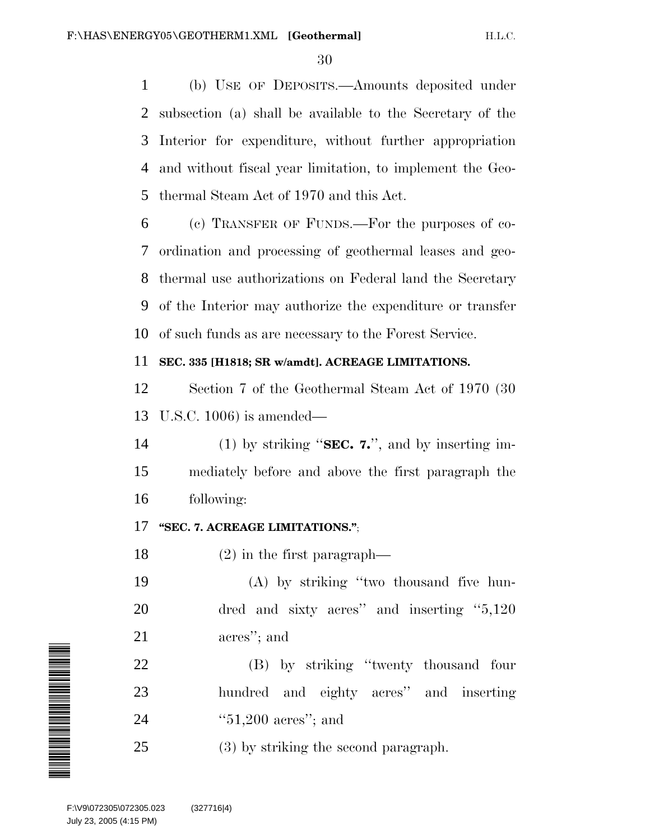(b) USE OF DEPOSITS.—Amounts deposited under subsection (a) shall be available to the Secretary of the Interior for expenditure, without further appropriation and without fiscal year limitation, to implement the Geo-thermal Steam Act of 1970 and this Act.

 (c) TRANSFER OF FUNDS.—For the purposes of co- ordination and processing of geothermal leases and geo- thermal use authorizations on Federal land the Secretary of the Interior may authorize the expenditure or transfer of such funds as are necessary to the Forest Service.

## **SEC. 335 [H1818; SR w/amdt]. ACREAGE LIMITATIONS.**

 Section 7 of the Geothermal Steam Act of 1970 (30 U.S.C. 1006) is amended—

 (1) by striking ''**SEC. 7.**'', and by inserting im- mediately before and above the first paragraph the following:

## **''SEC. 7. ACREAGE LIMITATIONS.''**;

(2) in the first paragraph—

 (A) by striking ''two thousand five hun- dred and sixty acres'' and inserting ''5,120 acres''; and

 (B) by striking ''twenty thousand four hundred and eighty acres'' and inserting ''51,200 acres''; and

(3) by striking the second paragraph.

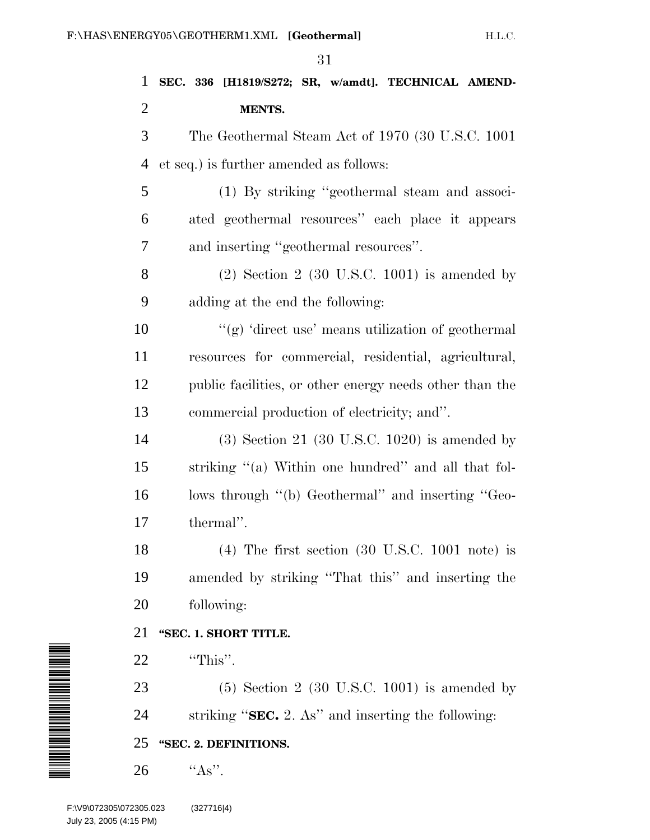| $\mathbf{1}$                                       | SEC. 336 [H1819/S272; SR, w/amdt]. TECHNICAL AMEND-                 |
|----------------------------------------------------|---------------------------------------------------------------------|
| $\overline{2}$                                     | MENTS.                                                              |
| 3                                                  | The Geothermal Steam Act of 1970 (30 U.S.C. 1001)                   |
| 4                                                  | et seq.) is further amended as follows:                             |
| 5                                                  | (1) By striking "geothermal steam and associ-                       |
| 6                                                  | ated geothermal resources" each place it appears                    |
| 7                                                  | and inserting "geothermal resources".                               |
| 8                                                  | $(2)$ Section 2 (30 U.S.C. 1001) is amended by                      |
| 9                                                  | adding at the end the following:                                    |
| 10                                                 | "(g) 'direct use' means utilization of geothermal                   |
| 11                                                 | resources for commercial, residential, agricultural,                |
| 12                                                 | public facilities, or other energy needs other than the             |
| 13                                                 | commercial production of electricity; and".                         |
| 14                                                 | $(3)$ Section 21 $(30 \text{ U.S.C. } 1020)$ is amended by          |
| 15                                                 | striking "(a) Within one hundred" and all that fol-                 |
| 16                                                 | lows through "(b) Geothermal" and inserting "Geo-                   |
| 17                                                 | thermal".                                                           |
| 18                                                 | $(4)$ The first section $(30 \text{ U.S.C. } 1001 \text{ note})$ is |
| 19                                                 | amended by striking "That this" and inserting the                   |
| 20                                                 | following:                                                          |
| 21                                                 | "SEC. 1. SHORT TITLE.                                               |
| 22                                                 | "This".                                                             |
| 23                                                 | $(5)$ Section 2 $(30 \text{ U.S.C. } 1001)$ is amended by           |
| 24                                                 | striking " $\text{SEC. 2. As}$ " and inserting the following:       |
| 25                                                 | "SEC. 2. DEFINITIONS.                                               |
| 26                                                 | " $As$ ".                                                           |
| F:\V9\072305\072305.023<br>July 23, 2005 (4:15 PM) | (327716 4)                                                          |

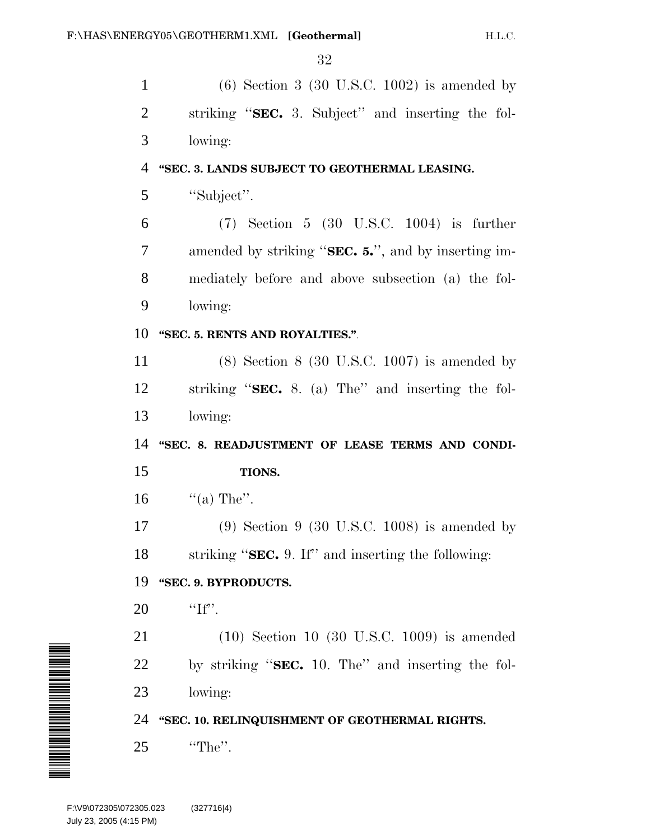(6) Section 3 (30 U.S.C. 1002) is amended by striking ''**SEC.** 3. Subject'' and inserting the fol- lowing: **''SEC. 3. LANDS SUBJECT TO GEOTHERMAL LEASING.** ''Subject''. (7) Section 5 (30 U.S.C. 1004) is further amended by striking ''**SEC. 5.**'', and by inserting im- mediately before and above subsection (a) the fol- lowing: **''SEC. 5. RENTS AND ROYALTIES.''**. (8) Section 8 (30 U.S.C. 1007) is amended by striking ''**SEC.** 8. (a) The'' and inserting the fol-

lowing:

14 "SEC. 8. READJUSTMENT OF LEASE TERMS AND CONDI-**TIONS.**

16  $\text{``(a) The''}.$ 

 (9) Section 9 (30 U.S.C. 1008) is amended by striking ''**SEC.** 9. If'' and inserting the following:

## **''SEC. 9. BYPRODUCTS.**

'If".

 (10) Section 10 (30 U.S.C. 1009) is amended by striking ''**SEC.** 10. The'' and inserting the fol-lowing:

**''SEC. 10. RELINQUISHMENT OF GEOTHERMAL RIGHTS.**

''The''.

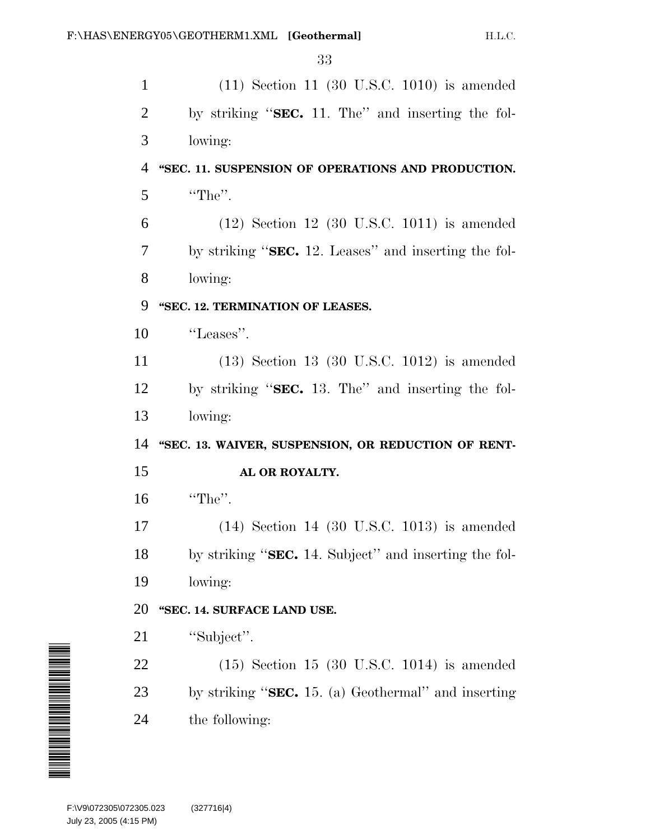| $\mathbf{1}$   | $(11)$ Section 11 $(30 \text{ U.S.C. } 1010)$ is amended |
|----------------|----------------------------------------------------------|
| $\overline{2}$ | by striking "SEC. 11. The" and inserting the fol-        |
| 3              | lowing:                                                  |
| 4              | "SEC. 11. SUSPENSION OF OPERATIONS AND PRODUCTION.       |
| 5              | "The".                                                   |
| 6              | $(12)$ Section 12 $(30 \text{ U.S.C. } 1011)$ is amended |
| 7              | by striking "SEC. 12. Leases" and inserting the fol-     |
| 8              | lowing:                                                  |
| 9              | "SEC. 12. TERMINATION OF LEASES.                         |
| 10             | "Leases".                                                |
| 11             | $(13)$ Section 13 $(30 \text{ U.S.C. } 1012)$ is amended |
| 12             | by striking "SEC. 13. The" and inserting the fol-        |
| 13             | lowing:                                                  |
| 14             | "SEC. 13. WAIVER, SUSPENSION, OR REDUCTION OF RENT-      |
| 15             | AL OR ROYALTY.                                           |
| 16             | "The".                                                   |
| 17             | $(14)$ Section 14 $(30 \text{ U.S.C. } 1013)$ is amended |
| 18             | by striking "SEC. 14. Subject" and inserting the fol-    |
| 19             | lowing:                                                  |
| 20             | "SEC. 14. SURFACE LAND USE.                              |
| 21             | "Subject".                                               |
| 22             | $(15)$ Section 15 $(30 \text{ U.S.C. } 1014)$ is amended |
| 23             | by striking " $SEC. 15. (a) Geothermal"$ and inserting   |
|                |                                                          |
| 24             | the following:                                           |

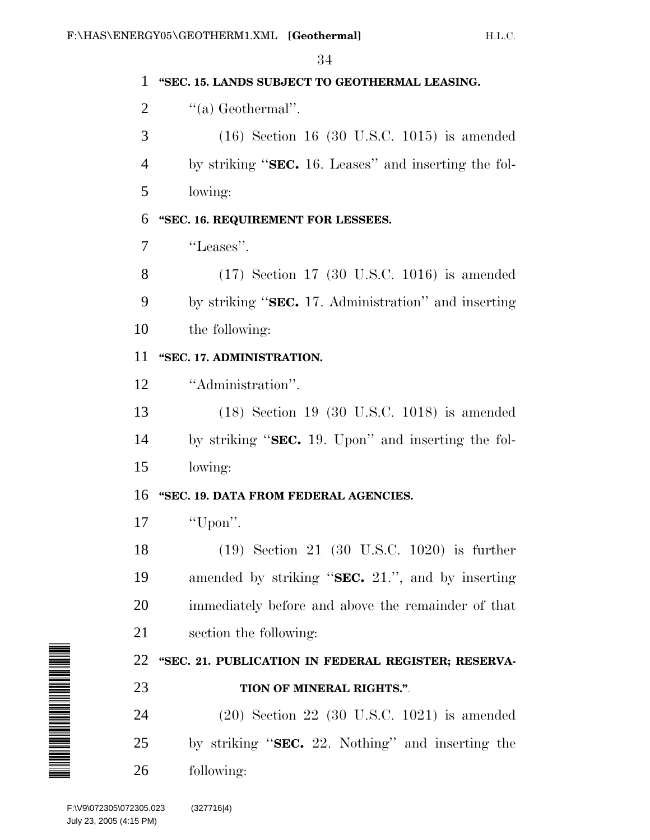$\overline{24}$ 

|                                                    | ðŦ                                                       |
|----------------------------------------------------|----------------------------------------------------------|
|                                                    | "SEC. 15. LANDS SUBJECT TO GEOTHERMAL LEASING.           |
| 2                                                  | "(a) Geothermal".                                        |
| 3                                                  | $(16)$ Section 16 (30 U.S.C. 1015) is amended            |
| 4                                                  | by striking "SEC. 16. Leases" and inserting the fol-     |
| 5                                                  | lowing:                                                  |
| 6                                                  | "SEC. 16. REQUIREMENT FOR LESSEES.                       |
| 7                                                  | "Leases".                                                |
| 8                                                  | $(17)$ Section 17 (30 U.S.C. 1016) is amended            |
| 9                                                  | by striking "SEC. 17. Administration" and inserting      |
| 10                                                 | the following:                                           |
| 11                                                 | "SEC. 17. ADMINISTRATION.                                |
| 12                                                 | "Administration".                                        |
| 13                                                 | $(18)$ Section 19 $(30 \text{ U.S.C. } 1018)$ is amended |
| 14                                                 | by striking "SEC. 19. Upon" and inserting the fol-       |
| 15                                                 | lowing:                                                  |
| 16                                                 | "SEC. 19. DATA FROM FEDERAL AGENCIES.                    |
| 17                                                 | "Upon".                                                  |
| 18                                                 | $(19)$ Section 21 $(30 \text{ U.S.C. } 1020)$ is further |
| 19                                                 | amended by striking "SEC. 21.", and by inserting         |
| 20                                                 | immediately before and above the remainder of that       |
| 21                                                 | section the following:                                   |
| 22                                                 | "SEC. 21. PUBLICATION IN FEDERAL REGISTER; RESERVA-      |
| 23                                                 | TION OF MINERAL RIGHTS.".                                |
| 24                                                 | $(20)$ Section 22 $(30 \text{ U.S.C. } 1021)$ is amended |
| 25                                                 | by striking "SEC. 22. Nothing" and inserting the         |
| 26                                                 | following:                                               |
| F:\V9\072305\072305.023<br>July 23, 2005 (4:15 PM) | (327716 4)                                               |

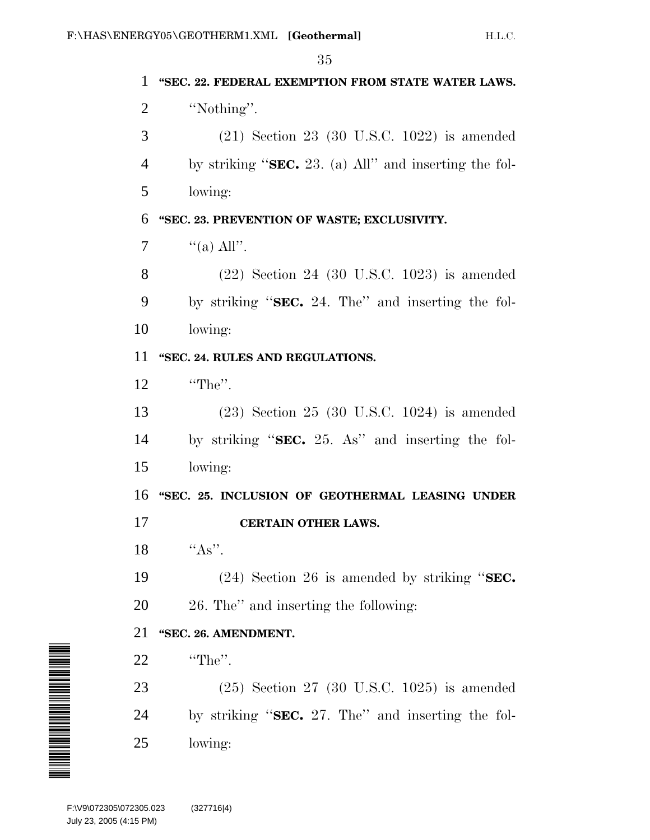|                                                    | ಀಀ                                                       |
|----------------------------------------------------|----------------------------------------------------------|
| 1                                                  | "SEC. 22. FEDERAL EXEMPTION FROM STATE WATER LAWS.       |
| 2                                                  | "Nothing".                                               |
| 3                                                  | $(21)$ Section 23 (30 U.S.C. 1022) is amended            |
| $\overline{4}$                                     | by striking " $SEC. 23. (a) All"$ and inserting the fol- |
| 5                                                  | lowing:                                                  |
| 6                                                  | "SEC. 23. PREVENTION OF WASTE; EXCLUSIVITY.              |
| 7                                                  | "(a) All".                                               |
| 8                                                  | $(22)$ Section 24 $(30 \text{ U.S.C. } 1023)$ is amended |
| 9                                                  | by striking "SEC. 24. The" and inserting the fol-        |
| 10                                                 | lowing:                                                  |
| 11                                                 | "SEC. 24. RULES AND REGULATIONS.                         |
| 12                                                 | "The".                                                   |
| 13                                                 | $(23)$ Section 25 $(30 \text{ U.S.C. } 1024)$ is amended |
| 14                                                 | by striking "SEC. 25. As" and inserting the fol-         |
| 15                                                 | lowing:                                                  |
| 16                                                 | "SEC. 25. INCLUSION OF GEOTHERMAL LEASING UNDER          |
| 17                                                 | <b>CERTAIN OTHER LAWS.</b>                               |
| 18                                                 | $``As"$ .                                                |
| 19                                                 | $(24)$ Section 26 is amended by striking "SEC.           |
| 20                                                 | 26. The" and inserting the following:                    |
| 21                                                 | "SEC. 26. AMENDMENT.                                     |
| 22                                                 | "The".                                                   |
| 23                                                 | $(25)$ Section 27 (30 U.S.C. 1025) is amended            |
| N THE MANAGEMENT WAS ALSO<br>24                    | by striking " $SEC. 27. The"$ and inserting the fol-     |
| 25                                                 | lowing:                                                  |
|                                                    |                                                          |
| F:\V9\072305\072305.023<br>July 23, 2005 (4:15 PM) | (327716 4)                                               |

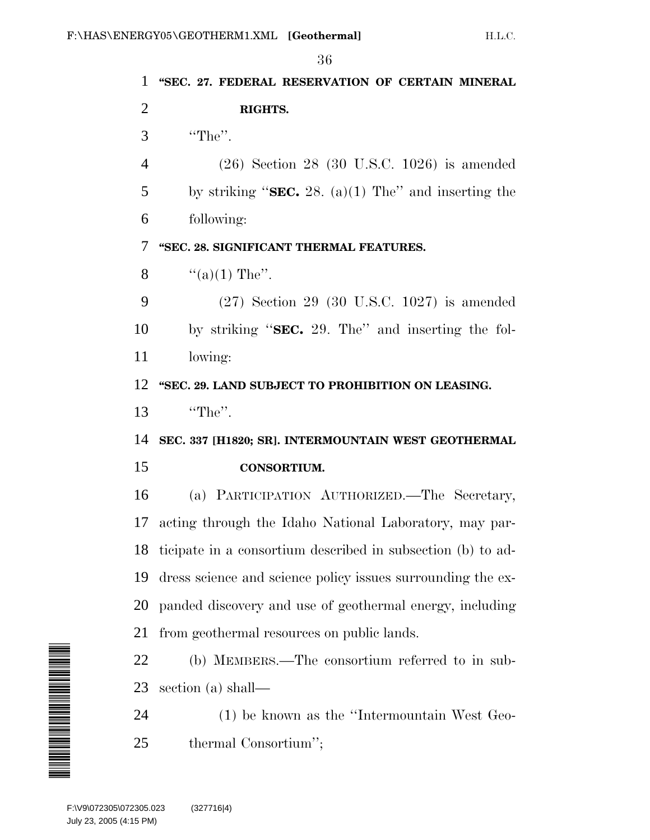**''SEC. 27. FEDERAL RESERVATION OF CERTAIN MINERAL RIGHTS.** ''The''. (26) Section 28 (30 U.S.C. 1026) is amended by striking ''**SEC.** 28. (a)(1) The'' and inserting the following: **''SEC. 28. SIGNIFICANT THERMAL FEATURES.**  $\frac{4}{(a)(1)}$  The". (27) Section 29 (30 U.S.C. 1027) is amended by striking ''**SEC.** 29. The'' and inserting the fol- lowing: **''SEC. 29. LAND SUBJECT TO PROHIBITION ON LEASING.** 13 "The". **SEC. 337 [H1820; SR]. INTERMOUNTAIN WEST GEOTHERMAL CONSORTIUM.** (a) PARTICIPATION AUTHORIZED.—The Secretary, acting through the Idaho National Laboratory, may par- ticipate in a consortium described in subsection (b) to ad- dress science and science policy issues surrounding the ex- panded discovery and use of geothermal energy, including from geothermal resources on public lands. (b) MEMBERS.—The consortium referred to in sub- section (a) shall— (1) be known as the ''Intermountain West Geo-thermal Consortium'';